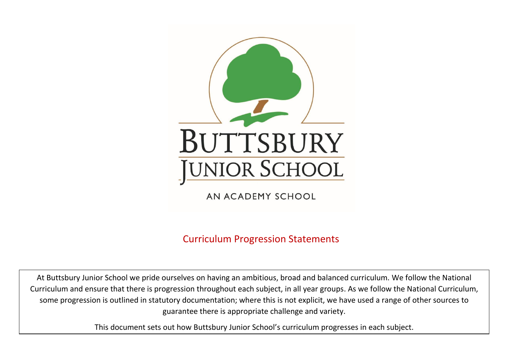

AN ACADEMY SCHOOL

Curriculum Progression Statements

At Buttsbury Junior School we pride ourselves on having an ambitious, broad and balanced curriculum. We follow the National Curriculum and ensure that there is progression throughout each subject, in all year groups. As we follow the National Curriculum, some progression is outlined in statutory documentation; where this is not explicit, we have used a range of other sources to guarantee there is appropriate challenge and variety.

This document sets out how Buttsbury Junior School's curriculum progresses in each subject.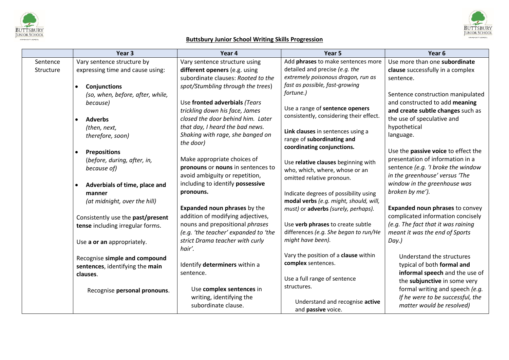



# **Buttsbury Junior School Writing Skills Progression**

|           | Year 3                                     | Year 4                               | Year <sub>5</sub>                                               | Year <sub>6</sub>                      |
|-----------|--------------------------------------------|--------------------------------------|-----------------------------------------------------------------|----------------------------------------|
| Sentence  | Vary sentence structure by                 | Vary sentence structure using        | Add phrases to make sentences more                              | Use more than one subordinate          |
| Structure | expressing time and cause using:           | different openers (e.g. using        | detailed and precise (e.g. the                                  | clause successfully in a complex       |
|           |                                            | subordinate clauses: Rooted to the   | extremely poisonous dragon, run as                              | sentence.                              |
|           | <b>Conjunctions</b><br>$\bullet$           | spot/Stumbling through the trees)    | fast as possible, fast-growing                                  |                                        |
|           | (so, when, before, after, while,           |                                      | fortune.)                                                       | Sentence construction manipulated      |
|           | because)                                   | Use fronted adverbials (Tears        |                                                                 | and constructed to add meaning         |
|           |                                            | trickling down his face, James       | Use a range of sentence openers                                 | and create subtle changes such as      |
|           | <b>Adverbs</b><br>$\bullet$                | closed the door behind him. Later    | consistently, considering their effect.                         | the use of speculative and             |
|           | (then, next,                               | that day, I heard the bad news.      |                                                                 | hypothetical                           |
|           | therefore, soon)                           | Shaking with rage, she banged on     | Link clauses in sentences using a<br>range of subordinating and | language.                              |
|           |                                            | the door)                            | coordinating conjunctions.                                      |                                        |
|           | <b>Prepositions</b><br>$\bullet$           |                                      |                                                                 | Use the passive voice to effect the    |
|           | (before, during, after, in,                | Make appropriate choices of          | Use relative clauses beginning with                             | presentation of information in a       |
|           | because of)                                | pronouns or nouns in sentences to    | who, which, where, whose or an                                  | sentence (e.g. 'I broke the window     |
|           |                                            | avoid ambiguity or repetition,       | omitted relative pronoun.                                       | in the greenhouse' versus 'The         |
|           | Adverbials of time, place and<br>$\bullet$ | including to identify possessive     |                                                                 | window in the greenhouse was           |
|           | manner                                     | pronouns.                            | Indicate degrees of possibility using                           | broken by me').                        |
|           | (at midnight, over the hill)               |                                      | modal verbs (e.g. might, should, will,                          |                                        |
|           |                                            | <b>Expanded noun phrases by the</b>  | must) or adverbs (surely, perhaps).                             | <b>Expanded noun phrases to convey</b> |
|           | Consistently use the past/present          | addition of modifying adjectives,    |                                                                 | complicated information concisely      |
|           | tense including irregular forms.           | nouns and prepositional phrases      | Use verb phrases to create subtle                               | (e.g. The fact that it was raining     |
|           |                                            | (e.g. 'the teacher' expanded to 'the | differences (e.g. She began to run/He                           | meant it was the end of Sports         |
|           | Use a or an appropriately.                 | strict Drama teacher with curly      | might have been).                                               | Day.)                                  |
|           |                                            | hair'.                               |                                                                 |                                        |
|           | Recognise simple and compound              |                                      | Vary the position of a clause within                            | Understand the structures              |
|           | sentences, identifying the main            | Identify determiners within a        | complex sentences.                                              | typical of both formal and             |
|           | clauses.                                   | sentence.                            |                                                                 | informal speech and the use of         |
|           |                                            |                                      | Use a full range of sentence<br>structures.                     | the subjunctive in some very           |
|           | Recognise personal pronouns.               | Use complex sentences in             |                                                                 | formal writing and speech (e.g.        |
|           |                                            | writing, identifying the             | Understand and recognise active                                 | If he were to be successful, the       |
|           |                                            | subordinate clause.                  | and passive voice.                                              | matter would be resolved)              |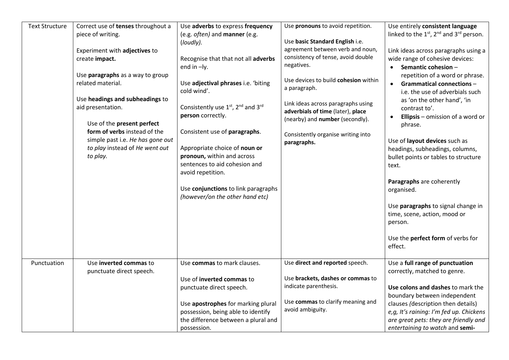| <b>Text Structure</b> | Correct use of tenses throughout a | Use adverbs to express frequency    | Use pronouns to avoid repetition.                     | Use entirely consistent language              |
|-----------------------|------------------------------------|-------------------------------------|-------------------------------------------------------|-----------------------------------------------|
|                       | piece of writing.                  | (e.g. often) and manner (e.g.       |                                                       | linked to the $1st$ , $2nd$ and $3rd$ person. |
|                       |                                    | (loudly).                           | Use basic Standard English i.e.                       |                                               |
|                       | Experiment with adjectives to      |                                     | agreement between verb and noun,                      | Link ideas across paragraphs using a          |
|                       | create impact.                     | Recognise that that not all adverbs | consistency of tense, avoid double                    | wide range of cohesive devices:               |
|                       |                                    | end in -ly.                         | negatives.                                            | Semantic cohesion-                            |
|                       | Use paragraphs as a way to group   |                                     |                                                       | repetition of a word or phrase.               |
|                       | related material.                  | Use adjectival phrases i.e. 'biting | Use devices to build cohesion within                  | <b>Grammatical connections -</b>              |
|                       |                                    | cold wind'.                         | a paragraph.                                          | i.e. the use of adverbials such               |
|                       | Use headings and subheadings to    |                                     | Link ideas across paragraphs using                    | as 'on the other hand', 'in                   |
|                       | aid presentation.                  | Consistently use 1st, 2nd and 3rd   | adverbials of time (later), place                     | contrast to'.                                 |
|                       |                                    | person correctly.                   | (nearby) and number (secondly).                       | <b>Ellipsis</b> $-$ omission of a word or     |
|                       | Use of the present perfect         |                                     |                                                       | phrase.                                       |
|                       | form of verbs instead of the       | Consistent use of paragraphs.       | Consistently organise writing into                    |                                               |
|                       | simple past i.e. He has gone out   |                                     | paragraphs.                                           | Use of layout devices such as                 |
|                       | to play instead of He went out     | Appropriate choice of noun or       |                                                       | headings, subheadings, columns,               |
|                       | to play.                           | pronoun, within and across          |                                                       | bullet points or tables to structure          |
|                       |                                    | sentences to aid cohesion and       |                                                       | text.                                         |
|                       |                                    | avoid repetition.                   |                                                       |                                               |
|                       |                                    |                                     |                                                       | Paragraphs are coherently                     |
|                       |                                    | Use conjunctions to link paragraphs |                                                       | organised.                                    |
|                       |                                    | (however/on the other hand etc)     |                                                       |                                               |
|                       |                                    |                                     |                                                       | Use paragraphs to signal change in            |
|                       |                                    |                                     |                                                       | time, scene, action, mood or                  |
|                       |                                    |                                     |                                                       | person.                                       |
|                       |                                    |                                     |                                                       |                                               |
|                       |                                    |                                     |                                                       | Use the <b>perfect form</b> of verbs for      |
|                       |                                    |                                     |                                                       | effect.                                       |
|                       |                                    |                                     |                                                       |                                               |
| Punctuation           | Use inverted commas to             | Use commas to mark clauses.         | Use direct and reported speech.                       | Use a full range of punctuation               |
|                       | punctuate direct speech.           |                                     |                                                       | correctly, matched to genre.                  |
|                       |                                    | Use of inverted commas to           | Use brackets, dashes or commas to                     |                                               |
|                       |                                    | punctuate direct speech.            | indicate parenthesis.                                 | Use colons and dashes to mark the             |
|                       |                                    |                                     |                                                       | boundary between independent                  |
|                       |                                    | Use apostrophes for marking plural  | Use commas to clarify meaning and<br>avoid ambiguity. | clauses (description then details)            |
|                       |                                    | possession, being able to identify  |                                                       | e,g, It's raining: I'm fed up. Chickens       |
|                       |                                    | the difference between a plural and |                                                       | are great pets: they are friendly and         |
|                       |                                    | possession.                         |                                                       | entertaining to watch and semi-               |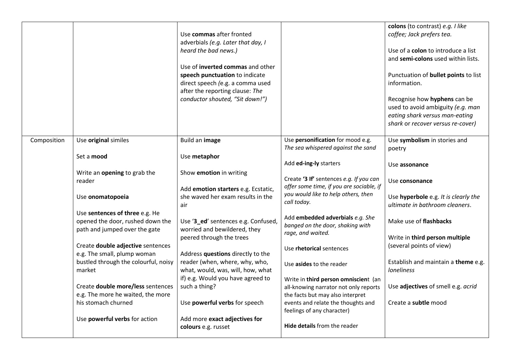|             |                                                                                                                                                                                                                                                                                                                                                                                                                                | Use commas after fronted<br>adverbials (e.g. Later that day, I<br>heard the bad news.)<br>Use of inverted commas and other<br>speech punctuation to indicate<br>direct speech (e.g. a comma used<br>after the reporting clause: The<br>conductor shouted, "Sit down!")                                                                                                                                                                             |                                                                                                                                                                                                                                                                                                                                                                                                                                                                                                                                                                | colons (to contrast) e.g. I like<br>coffee; Jack prefers tea.<br>Use of a colon to introduce a list<br>and semi-colons used within lists.<br>Punctuation of <b>bullet points</b> to list<br>information.<br>Recognise how hyphens can be<br>used to avoid ambiguity (e.g. man<br>eating shark versus man-eating<br>shark or recover versus re-cover)                  |
|-------------|--------------------------------------------------------------------------------------------------------------------------------------------------------------------------------------------------------------------------------------------------------------------------------------------------------------------------------------------------------------------------------------------------------------------------------|----------------------------------------------------------------------------------------------------------------------------------------------------------------------------------------------------------------------------------------------------------------------------------------------------------------------------------------------------------------------------------------------------------------------------------------------------|----------------------------------------------------------------------------------------------------------------------------------------------------------------------------------------------------------------------------------------------------------------------------------------------------------------------------------------------------------------------------------------------------------------------------------------------------------------------------------------------------------------------------------------------------------------|-----------------------------------------------------------------------------------------------------------------------------------------------------------------------------------------------------------------------------------------------------------------------------------------------------------------------------------------------------------------------|
| Composition | Use original similes<br>Set a mood<br>Write an opening to grab the<br>reader<br>Use onomatopoeia<br>Use sentences of three e.g. He<br>opened the door, rushed down the<br>path and jumped over the gate<br>Create double adjective sentences<br>e.g. The small, plump woman<br>bustled through the colourful, noisy<br>market<br>Create double more/less sentences<br>e.g. The more he waited, the more<br>his stomach churned | Build an image<br>Use metaphor<br>Show emotion in writing<br>Add emotion starters e.g. Ecstatic,<br>she waved her exam results in the<br>air<br>Use '3_ed' sentences e.g. Confused,<br>worried and bewildered, they<br>peered through the trees<br>Address questions directly to the<br>reader (when, where, why, who,<br>what, would, was, will, how, what<br>if) e.g. Would you have agreed to<br>such a thing?<br>Use powerful verbs for speech | Use personification for mood e.g.<br>The sea whispered against the sand<br>Add ed-ing-ly starters<br>Create '3 If' sentences e.g. If you can<br>offer some time, if you are sociable, if<br>you would like to help others, then<br>call today.<br>Add embedded adverbials e.g. She<br>banged on the door, shaking with<br>rage, and waited.<br>Use rhetorical sentences<br>Use asides to the reader<br>Write in third person omniscient (an<br>all-knowing narrator not only reports<br>the facts but may also interpret<br>events and relate the thoughts and | Use symbolism in stories and<br>poetry<br>Use assonance<br>Use consonance<br>Use hyperbole e.g. It is clearly the<br>ultimate in bathroom cleaners.<br>Make use of flashbacks<br>Write in third person multiple<br>(several points of view)<br>Establish and maintain a theme e.g.<br><b>loneliness</b><br>Use adjectives of smell e.g. acrid<br>Create a subtle mood |
|             | Use powerful verbs for action                                                                                                                                                                                                                                                                                                                                                                                                  | Add more exact adjectives for<br>colours e.g. russet                                                                                                                                                                                                                                                                                                                                                                                               | feelings of any character)<br>Hide details from the reader                                                                                                                                                                                                                                                                                                                                                                                                                                                                                                     |                                                                                                                                                                                                                                                                                                                                                                       |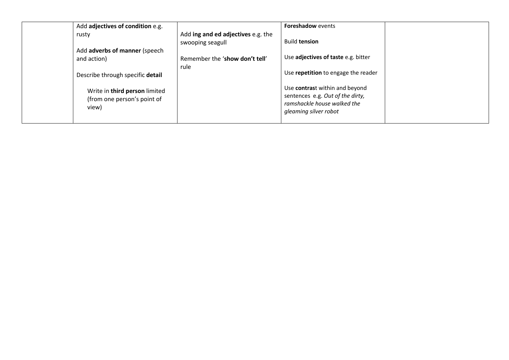| Add adjectives of condition e.g.                                      |                                                        | Foreshadow events                                                                                                          |  |
|-----------------------------------------------------------------------|--------------------------------------------------------|----------------------------------------------------------------------------------------------------------------------------|--|
| rusty                                                                 | Add ing and ed adjectives e.g. the<br>swooping seagull | <b>Build tension</b>                                                                                                       |  |
| Add adverbs of manner (speech<br>and action)                          | Remember the 'show don't tell'                         | Use adjectives of taste e.g. bitter                                                                                        |  |
| Describe through specific detail                                      | rule                                                   | Use repetition to engage the reader                                                                                        |  |
| Write in third person limited<br>(from one person's point of<br>view) |                                                        | Use contrast within and beyond<br>sentences e.g. Out of the dirty,<br>ramshackle house walked the<br>gleaming silver robot |  |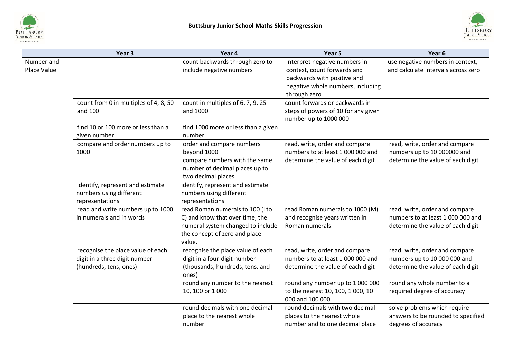



|                           | Year <sub>3</sub>                                                                            | Year 4                                                                                                                                              | Year 5                                                                                                   | Year 6                                                                                                   |
|---------------------------|----------------------------------------------------------------------------------------------|-----------------------------------------------------------------------------------------------------------------------------------------------------|----------------------------------------------------------------------------------------------------------|----------------------------------------------------------------------------------------------------------|
| Number and<br>Place Value |                                                                                              | count backwards through zero to<br>include negative numbers                                                                                         | interpret negative numbers in<br>context, count forwards and<br>backwards with positive and              | use negative numbers in context,<br>and calculate intervals across zero                                  |
|                           |                                                                                              |                                                                                                                                                     | negative whole numbers, including<br>through zero                                                        |                                                                                                          |
|                           | count from 0 in multiples of 4, 8, 50<br>and 100                                             | count in multiples of 6, 7, 9, 25<br>and 1000                                                                                                       | count forwards or backwards in<br>steps of powers of 10 for any given<br>number up to 1000 000           |                                                                                                          |
|                           | find 10 or 100 more or less than a<br>given number                                           | find 1000 more or less than a given<br>number                                                                                                       |                                                                                                          |                                                                                                          |
|                           | compare and order numbers up to<br>1000                                                      | order and compare numbers<br>beyond 1000                                                                                                            | read, write, order and compare<br>numbers to at least 1 000 000 and                                      | read, write, order and compare<br>numbers up to 10 000000 and                                            |
|                           |                                                                                              | compare numbers with the same<br>number of decimal places up to<br>two decimal places                                                               | determine the value of each digit                                                                        | determine the value of each digit                                                                        |
|                           | identify, represent and estimate<br>numbers using different<br>representations               | identify, represent and estimate<br>numbers using different<br>representations                                                                      |                                                                                                          |                                                                                                          |
|                           | read and write numbers up to 1000<br>in numerals and in words                                | read Roman numerals to 100 (I to<br>C) and know that over time, the<br>numeral system changed to include<br>the concept of zero and place<br>value. | read Roman numerals to 1000 (M)<br>and recognise years written in<br>Roman numerals.                     | read, write, order and compare<br>numbers to at least 1 000 000 and<br>determine the value of each digit |
|                           | recognise the place value of each<br>digit in a three digit number<br>(hundreds, tens, ones) | recognise the place value of each<br>digit in a four-digit number<br>(thousands, hundreds, tens, and<br>ones)                                       | read, write, order and compare<br>numbers to at least 1 000 000 and<br>determine the value of each digit | read, write, order and compare<br>numbers up to 10 000 000 and<br>determine the value of each digit      |
|                           |                                                                                              | round any number to the nearest<br>10, 100 or 1 000                                                                                                 | round any number up to 1 000 000<br>to the nearest 10, 100, 1 000, 10<br>000 and 100 000                 | round any whole number to a<br>required degree of accuracy                                               |
|                           |                                                                                              | round decimals with one decimal<br>place to the nearest whole<br>number                                                                             | round decimals with two decimal<br>places to the nearest whole<br>number and to one decimal place        | solve problems which require<br>answers to be rounded to specified<br>degrees of accuracy                |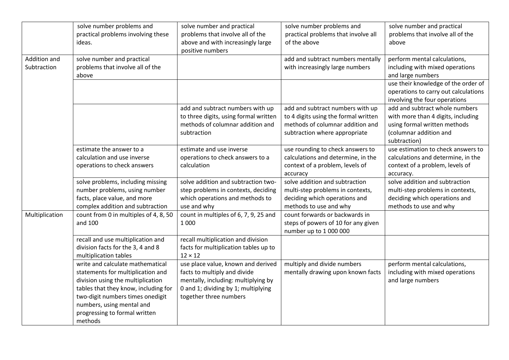|                             | solve number problems and<br>practical problems involving these<br>ideas.                                                                                                                                                                                       | solve number and practical<br>problems that involve all of the<br>above and with increasingly large<br>positive numbers                                                    | solve number problems and<br>practical problems that involve all<br>of the above                                                              | solve number and practical<br>problems that involve all of the<br>above                                                                                                                              |
|-----------------------------|-----------------------------------------------------------------------------------------------------------------------------------------------------------------------------------------------------------------------------------------------------------------|----------------------------------------------------------------------------------------------------------------------------------------------------------------------------|-----------------------------------------------------------------------------------------------------------------------------------------------|------------------------------------------------------------------------------------------------------------------------------------------------------------------------------------------------------|
| Addition and<br>Subtraction | solve number and practical<br>problems that involve all of the<br>above                                                                                                                                                                                         |                                                                                                                                                                            | add and subtract numbers mentally<br>with increasingly large numbers                                                                          | perform mental calculations,<br>including with mixed operations<br>and large numbers<br>use their knowledge of the order of<br>operations to carry out calculations<br>involving the four operations |
|                             |                                                                                                                                                                                                                                                                 | add and subtract numbers with up<br>to three digits, using formal written<br>methods of columnar addition and<br>subtraction                                               | add and subtract numbers with up<br>to 4 digits using the formal written<br>methods of columnar addition and<br>subtraction where appropriate | add and subtract whole numbers<br>with more than 4 digits, including<br>using formal written methods<br>(columnar addition and<br>subtraction)                                                       |
|                             | estimate the answer to a<br>calculation and use inverse<br>operations to check answers                                                                                                                                                                          | estimate and use inverse<br>operations to check answers to a<br>calculation                                                                                                | use rounding to check answers to<br>calculations and determine, in the<br>context of a problem, levels of<br>accuracy                         | use estimation to check answers to<br>calculations and determine, in the<br>context of a problem, levels of<br>accuracy.                                                                             |
|                             | solve problems, including missing<br>number problems, using number<br>facts, place value, and more<br>complex addition and subtraction                                                                                                                          | solve addition and subtraction two-<br>step problems in contexts, deciding<br>which operations and methods to<br>use and why                                               | solve addition and subtraction<br>multi-step problems in contexts,<br>deciding which operations and<br>methods to use and why                 | solve addition and subtraction<br>multi-step problems in contexts,<br>deciding which operations and<br>methods to use and why                                                                        |
| Multiplication              | count from 0 in multiples of 4, 8, 50<br>and 100                                                                                                                                                                                                                | count in multiples of 6, 7, 9, 25 and<br>1 0 0 0                                                                                                                           | count forwards or backwards in<br>steps of powers of 10 for any given<br>number up to 1 000 000                                               |                                                                                                                                                                                                      |
|                             | recall and use multiplication and<br>division facts for the 3, 4 and 8<br>multiplication tables                                                                                                                                                                 | recall multiplication and division<br>facts for multiplication tables up to<br>$12 \times 12$                                                                              |                                                                                                                                               |                                                                                                                                                                                                      |
|                             | write and calculate mathematical<br>statements for multiplication and<br>division using the multiplication<br>tables that they know, including for<br>two-digit numbers times onedigit<br>numbers, using mental and<br>progressing to formal written<br>methods | use place value, known and derived<br>facts to multiply and divide<br>mentally, including: multiplying by<br>0 and 1; dividing by 1; multiplying<br>together three numbers | multiply and divide numbers<br>mentally drawing upon known facts                                                                              | perform mental calculations,<br>including with mixed operations<br>and large numbers                                                                                                                 |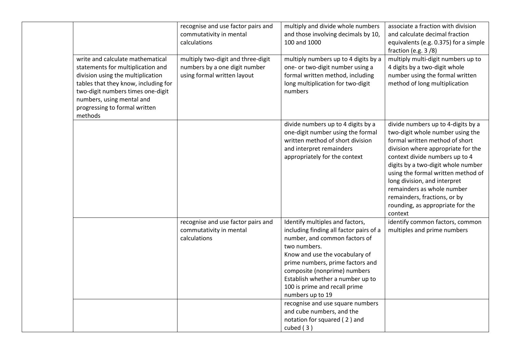|                                                                                                                                                                                                                                                                  | recognise and use factor pairs and<br>commutativity in mental<br>calculations                      | multiply and divide whole numbers<br>and those involving decimals by 10,<br>100 and 1000                                                                                                                                                                                                                                   | associate a fraction with division<br>and calculate decimal fraction<br>equivalents (e.g. 0.375) for a simple<br>fraction (e.g. $3/8$ )                                                                                                                                                                                                                                                                   |
|------------------------------------------------------------------------------------------------------------------------------------------------------------------------------------------------------------------------------------------------------------------|----------------------------------------------------------------------------------------------------|----------------------------------------------------------------------------------------------------------------------------------------------------------------------------------------------------------------------------------------------------------------------------------------------------------------------------|-----------------------------------------------------------------------------------------------------------------------------------------------------------------------------------------------------------------------------------------------------------------------------------------------------------------------------------------------------------------------------------------------------------|
| write and calculate mathematical<br>statements for multiplication and<br>division using the multiplication<br>tables that they know, including for<br>two-digit numbers times one-digit<br>numbers, using mental and<br>progressing to formal written<br>methods | multiply two-digit and three-digit<br>numbers by a one digit number<br>using formal written layout | multiply numbers up to 4 digits by a<br>one- or two-digit number using a<br>formal written method, including<br>long multiplication for two-digit<br>numbers                                                                                                                                                               | multiply multi-digit numbers up to<br>4 digits by a two-digit whole<br>number using the formal written<br>method of long multiplication                                                                                                                                                                                                                                                                   |
|                                                                                                                                                                                                                                                                  |                                                                                                    | divide numbers up to 4 digits by a<br>one-digit number using the formal<br>written method of short division<br>and interpret remainders<br>appropriately for the context                                                                                                                                                   | divide numbers up to 4-digits by a<br>two-digit whole number using the<br>formal written method of short<br>division where appropriate for the<br>context divide numbers up to 4<br>digits by a two-digit whole number<br>using the formal written method of<br>long division, and interpret<br>remainders as whole number<br>remainders, fractions, or by<br>rounding, as appropriate for the<br>context |
|                                                                                                                                                                                                                                                                  | recognise and use factor pairs and<br>commutativity in mental<br>calculations                      | Identify multiples and factors,<br>including finding all factor pairs of a<br>number, and common factors of<br>two numbers.<br>Know and use the vocabulary of<br>prime numbers, prime factors and<br>composite (nonprime) numbers<br>Establish whether a number up to<br>100 is prime and recall prime<br>numbers up to 19 | identify common factors, common<br>multiples and prime numbers                                                                                                                                                                                                                                                                                                                                            |
|                                                                                                                                                                                                                                                                  |                                                                                                    | recognise and use square numbers<br>and cube numbers, and the<br>notation for squared (2) and<br>cubed $(3)$                                                                                                                                                                                                               |                                                                                                                                                                                                                                                                                                                                                                                                           |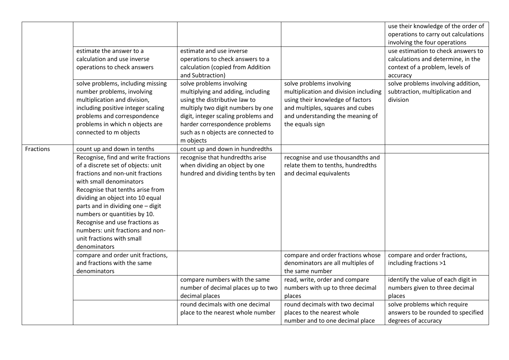|           |                                     |                                     |                                       | use their knowledge of the order of  |
|-----------|-------------------------------------|-------------------------------------|---------------------------------------|--------------------------------------|
|           |                                     |                                     |                                       | operations to carry out calculations |
|           |                                     |                                     |                                       | involving the four operations        |
|           | estimate the answer to a            | estimate and use inverse            |                                       | use estimation to check answers to   |
|           | calculation and use inverse         | operations to check answers to a    |                                       | calculations and determine, in the   |
|           | operations to check answers         | calculation (copied from Addition   |                                       | context of a problem, levels of      |
|           |                                     | and Subtraction)                    |                                       | accuracy                             |
|           | solve problems, including missing   | solve problems involving            | solve problems involving              | solve problems involving addition,   |
|           | number problems, involving          | multiplying and adding, including   | multiplication and division including | subtraction, multiplication and      |
|           | multiplication and division,        | using the distributive law to       | using their knowledge of factors      | division                             |
|           | including positive integer scaling  | multiply two digit numbers by one   | and multiples, squares and cubes      |                                      |
|           | problems and correspondence         | digit, integer scaling problems and | and understanding the meaning of      |                                      |
|           | problems in which n objects are     | harder correspondence problems      | the equals sign                       |                                      |
|           | connected to m objects              | such as n objects are connected to  |                                       |                                      |
|           |                                     | m objects                           |                                       |                                      |
| Fractions | count up and down in tenths         | count up and down in hundredths     |                                       |                                      |
|           | Recognise, find and write fractions | recognise that hundredths arise     | recognise and use thousandths and     |                                      |
|           | of a discrete set of objects: unit  | when dividing an object by one      | relate them to tenths, hundredths     |                                      |
|           | fractions and non-unit fractions    | hundred and dividing tenths by ten  | and decimal equivalents               |                                      |
|           | with small denominators             |                                     |                                       |                                      |
|           | Recognise that tenths arise from    |                                     |                                       |                                      |
|           | dividing an object into 10 equal    |                                     |                                       |                                      |
|           | parts and in dividing one - digit   |                                     |                                       |                                      |
|           | numbers or quantities by 10.        |                                     |                                       |                                      |
|           | Recognise and use fractions as      |                                     |                                       |                                      |
|           | numbers: unit fractions and non-    |                                     |                                       |                                      |
|           | unit fractions with small           |                                     |                                       |                                      |
|           | denominators                        |                                     |                                       |                                      |
|           | compare and order unit fractions,   |                                     | compare and order fractions whose     | compare and order fractions,         |
|           | and fractions with the same         |                                     | denominators are all multiples of     | including fractions >1               |
|           | denominators                        |                                     | the same number                       |                                      |
|           |                                     | compare numbers with the same       | read, write, order and compare        | identify the value of each digit in  |
|           |                                     | number of decimal places up to two  | numbers with up to three decimal      | numbers given to three decimal       |
|           |                                     | decimal places                      | places                                | places                               |
|           |                                     | round decimals with one decimal     | round decimals with two decimal       | solve problems which require         |
|           |                                     | place to the nearest whole number   | places to the nearest whole           | answers to be rounded to specified   |
|           |                                     |                                     | number and to one decimal place       | degrees of accuracy                  |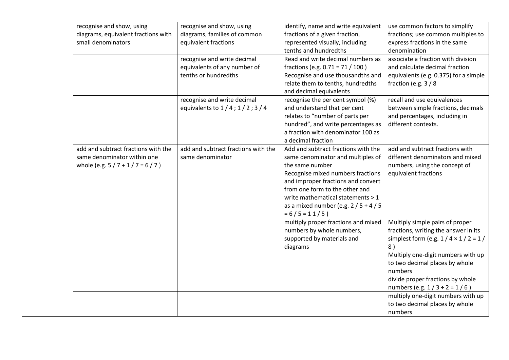| recognise and show, using           | recognise and show, using            | identify, name and write equivalent | use common factors to simplify            |
|-------------------------------------|--------------------------------------|-------------------------------------|-------------------------------------------|
| diagrams, equivalent fractions with | diagrams, families of common         | fractions of a given fraction,      | fractions; use common multiples to        |
| small denominators                  | equivalent fractions                 | represented visually, including     | express fractions in the same             |
|                                     |                                      | tenths and hundredths               | denomination                              |
|                                     | recognise and write decimal          | Read and write decimal numbers as   | associate a fraction with division        |
|                                     | equivalents of any number of         | fractions (e.g. 0.71 = 71 / 100)    | and calculate decimal fraction            |
|                                     | tenths or hundredths                 | Recognise and use thousandths and   | equivalents (e.g. 0.375) for a simple     |
|                                     |                                      | relate them to tenths, hundredths   | fraction (e.g. $3/8$                      |
|                                     |                                      | and decimal equivalents             |                                           |
|                                     | recognise and write decimal          | recognise the per cent symbol (%)   | recall and use equivalences               |
|                                     | equivalents to $1/4$ ; $1/2$ ; $3/4$ | and understand that per cent        | between simple fractions, decimals        |
|                                     |                                      | relates to "number of parts per     | and percentages, including in             |
|                                     |                                      | hundred", and write percentages as  | different contexts.                       |
|                                     |                                      | a fraction with denominator 100 as  |                                           |
|                                     |                                      | a decimal fraction                  |                                           |
| add and subtract fractions with the | add and subtract fractions with the  | Add and subtract fractions with the | add and subtract fractions with           |
| same denominator within one         | same denominator                     | same denominator and multiples of   | different denominators and mixed          |
| whole (e.g. $5/7 + 1/7 = 6/7$ )     |                                      | the same number                     | numbers, using the concept of             |
|                                     |                                      | Recognise mixed numbers fractions   | equivalent fractions                      |
|                                     |                                      | and improper fractions and convert  |                                           |
|                                     |                                      | from one form to the other and      |                                           |
|                                     |                                      | write mathematical statements > 1   |                                           |
|                                     |                                      | as a mixed number (e.g. $2/5 + 4/5$ |                                           |
|                                     |                                      | $= 6 / 5 = 11 / 5$                  |                                           |
|                                     |                                      | multiply proper fractions and mixed | Multiply simple pairs of proper           |
|                                     |                                      | numbers by whole numbers,           | fractions, writing the answer in its      |
|                                     |                                      | supported by materials and          | simplest form (e.g. $1/4 \times 1/2 = 1/$ |
|                                     |                                      | diagrams                            | 8)                                        |
|                                     |                                      |                                     | Multiply one-digit numbers with up        |
|                                     |                                      |                                     | to two decimal places by whole            |
|                                     |                                      |                                     | numbers                                   |
|                                     |                                      |                                     | divide proper fractions by whole          |
|                                     |                                      |                                     | numbers (e.g. $1/3 \div 2 = 1/6$ )        |
|                                     |                                      |                                     | multiply one-digit numbers with up        |
|                                     |                                      |                                     | to two decimal places by whole            |
|                                     |                                      |                                     | numbers                                   |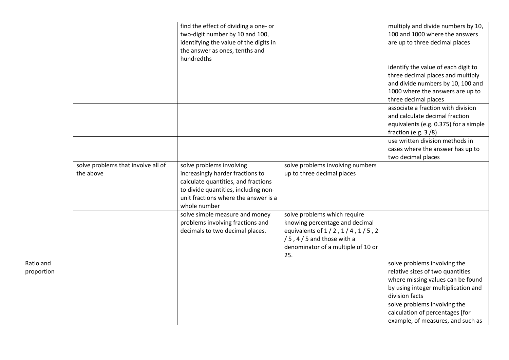|            |                                    | find the effect of dividing a one- or  |                                    | multiply and divide numbers by 10,    |
|------------|------------------------------------|----------------------------------------|------------------------------------|---------------------------------------|
|            |                                    | two-digit number by 10 and 100,        |                                    | 100 and 1000 where the answers        |
|            |                                    | identifying the value of the digits in |                                    | are up to three decimal places        |
|            |                                    | the answer as ones, tenths and         |                                    |                                       |
|            |                                    | hundredths                             |                                    |                                       |
|            |                                    |                                        |                                    | identify the value of each digit to   |
|            |                                    |                                        |                                    | three decimal places and multiply     |
|            |                                    |                                        |                                    | and divide numbers by 10, 100 and     |
|            |                                    |                                        |                                    | 1000 where the answers are up to      |
|            |                                    |                                        |                                    |                                       |
|            |                                    |                                        |                                    | three decimal places                  |
|            |                                    |                                        |                                    | associate a fraction with division    |
|            |                                    |                                        |                                    | and calculate decimal fraction        |
|            |                                    |                                        |                                    | equivalents (e.g. 0.375) for a simple |
|            |                                    |                                        |                                    | fraction (e.g. $3/8$ )                |
|            |                                    |                                        |                                    | use written division methods in       |
|            |                                    |                                        |                                    | cases where the answer has up to      |
|            |                                    |                                        |                                    | two decimal places                    |
|            | solve problems that involve all of | solve problems involving               | solve problems involving numbers   |                                       |
|            | the above                          | increasingly harder fractions to       | up to three decimal places         |                                       |
|            |                                    | calculate quantities, and fractions    |                                    |                                       |
|            |                                    | to divide quantities, including non-   |                                    |                                       |
|            |                                    | unit fractions where the answer is a   |                                    |                                       |
|            |                                    | whole number                           |                                    |                                       |
|            |                                    | solve simple measure and money         | solve problems which require       |                                       |
|            |                                    | problems involving fractions and       | knowing percentage and decimal     |                                       |
|            |                                    | decimals to two decimal places.        | equivalents of 1/2, 1/4, 1/5, 2    |                                       |
|            |                                    |                                        | $/5$ , 4 $/5$ and those with a     |                                       |
|            |                                    |                                        | denominator of a multiple of 10 or |                                       |
|            |                                    |                                        | 25.                                |                                       |
| Ratio and  |                                    |                                        |                                    | solve problems involving the          |
|            |                                    |                                        |                                    |                                       |
| proportion |                                    |                                        |                                    | relative sizes of two quantities      |
|            |                                    |                                        |                                    | where missing values can be found     |
|            |                                    |                                        |                                    | by using integer multiplication and   |
|            |                                    |                                        |                                    | division facts                        |
|            |                                    |                                        |                                    | solve problems involving the          |
|            |                                    |                                        |                                    | calculation of percentages [for       |
|            |                                    |                                        |                                    | example, of measures, and such as     |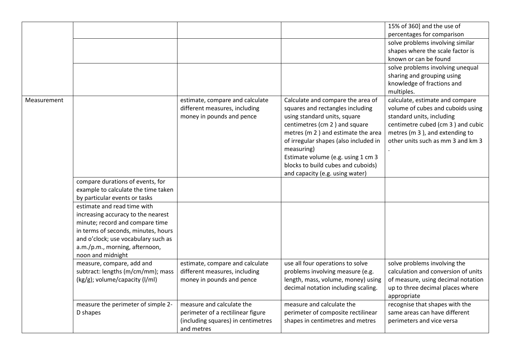|             |                                                |                                    |                                                                        | 15% of 360] and the use of                                          |
|-------------|------------------------------------------------|------------------------------------|------------------------------------------------------------------------|---------------------------------------------------------------------|
|             |                                                |                                    |                                                                        | percentages for comparison                                          |
|             |                                                |                                    |                                                                        | solve problems involving similar                                    |
|             |                                                |                                    |                                                                        | shapes where the scale factor is                                    |
|             |                                                |                                    |                                                                        | known or can be found                                               |
|             |                                                |                                    |                                                                        | solve problems involving unequal                                    |
|             |                                                |                                    |                                                                        | sharing and grouping using                                          |
|             |                                                |                                    |                                                                        | knowledge of fractions and                                          |
|             |                                                |                                    |                                                                        | multiples.                                                          |
| Measurement |                                                | estimate, compare and calculate    | Calculate and compare the area of                                      | calculate, estimate and compare                                     |
|             |                                                | different measures, including      | squares and rectangles including                                       | volume of cubes and cuboids using                                   |
|             |                                                | money in pounds and pence          | using standard units, square                                           | standard units, including                                           |
|             |                                                |                                    | centimetres (cm 2) and square<br>metres (m 2) and estimate the area    | centimetre cubed (cm 3) and cubic<br>metres (m 3), and extending to |
|             |                                                |                                    | of irregular shapes (also included in                                  | other units such as mm 3 and km 3                                   |
|             |                                                |                                    | measuring)                                                             |                                                                     |
|             |                                                |                                    | Estimate volume (e.g. using 1 cm 3                                     |                                                                     |
|             |                                                |                                    | blocks to build cubes and cuboids)                                     |                                                                     |
|             |                                                |                                    | and capacity (e.g. using water)                                        |                                                                     |
|             | compare durations of events, for               |                                    |                                                                        |                                                                     |
|             | example to calculate the time taken            |                                    |                                                                        |                                                                     |
|             | by particular events or tasks                  |                                    |                                                                        |                                                                     |
|             | estimate and read time with                    |                                    |                                                                        |                                                                     |
|             | increasing accuracy to the nearest             |                                    |                                                                        |                                                                     |
|             | minute; record and compare time                |                                    |                                                                        |                                                                     |
|             | in terms of seconds, minutes, hours            |                                    |                                                                        |                                                                     |
|             | and o'clock; use vocabulary such as            |                                    |                                                                        |                                                                     |
|             | a.m./p.m., morning, afternoon,                 |                                    |                                                                        |                                                                     |
|             | noon and midnight                              |                                    |                                                                        |                                                                     |
|             | measure, compare, add and                      | estimate, compare and calculate    | use all four operations to solve                                       | solve problems involving the                                        |
|             | subtract: lengths (m/cm/mm); mass              | different measures, including      | problems involving measure (e.g.                                       | calculation and conversion of units                                 |
|             | (kg/g); volume/capacity (l/ml)                 | money in pounds and pence          | length, mass, volume, money) using                                     | of measure, using decimal notation                                  |
|             |                                                |                                    | decimal notation including scaling.                                    | up to three decimal places where                                    |
|             |                                                | measure and calculate the          | measure and calculate the                                              | appropriate                                                         |
|             | measure the perimeter of simple 2-<br>D shapes | perimeter of a rectilinear figure  |                                                                        | recognise that shapes with the<br>same areas can have different     |
|             |                                                | (including squares) in centimetres | perimeter of composite rectilinear<br>shapes in centimetres and metres | perimeters and vice versa                                           |
|             |                                                | and metres                         |                                                                        |                                                                     |
|             |                                                |                                    |                                                                        |                                                                     |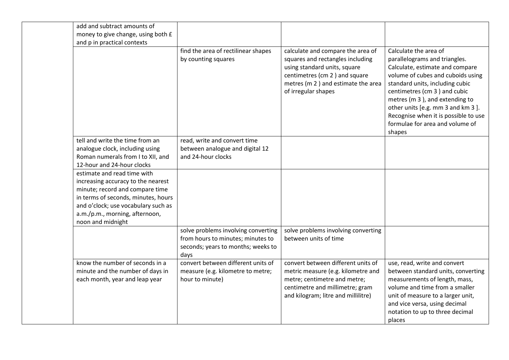| add and subtract amounts of<br>money to give change, using both £<br>and p in practical contexts                                                                                                                                          |                                                                                                                        |                                                                                                                                                                                                     |                                                                                                                                                                                                                                                                                                                                                               |
|-------------------------------------------------------------------------------------------------------------------------------------------------------------------------------------------------------------------------------------------|------------------------------------------------------------------------------------------------------------------------|-----------------------------------------------------------------------------------------------------------------------------------------------------------------------------------------------------|---------------------------------------------------------------------------------------------------------------------------------------------------------------------------------------------------------------------------------------------------------------------------------------------------------------------------------------------------------------|
|                                                                                                                                                                                                                                           | find the area of rectilinear shapes<br>by counting squares                                                             | calculate and compare the area of<br>squares and rectangles including<br>using standard units, square<br>centimetres (cm 2) and square<br>metres (m 2) and estimate the area<br>of irregular shapes | Calculate the area of<br>parallelograms and triangles.<br>Calculate, estimate and compare<br>volume of cubes and cuboids using<br>standard units, including cubic<br>centimetres (cm 3) and cubic<br>metres (m 3), and extending to<br>other units [e.g. mm 3 and km 3].<br>Recognise when it is possible to use<br>formulae for area and volume of<br>shapes |
| tell and write the time from an<br>analogue clock, including using<br>Roman numerals from I to XII, and<br>12-hour and 24-hour clocks                                                                                                     | read, write and convert time<br>between analogue and digital 12<br>and 24-hour clocks                                  |                                                                                                                                                                                                     |                                                                                                                                                                                                                                                                                                                                                               |
| estimate and read time with<br>increasing accuracy to the nearest<br>minute; record and compare time<br>in terms of seconds, minutes, hours<br>and o'clock; use vocabulary such as<br>a.m./p.m., morning, afternoon,<br>noon and midnight |                                                                                                                        |                                                                                                                                                                                                     |                                                                                                                                                                                                                                                                                                                                                               |
|                                                                                                                                                                                                                                           | solve problems involving converting<br>from hours to minutes; minutes to<br>seconds; years to months; weeks to<br>days | solve problems involving converting<br>between units of time                                                                                                                                        |                                                                                                                                                                                                                                                                                                                                                               |
| know the number of seconds in a<br>minute and the number of days in<br>each month, year and leap year                                                                                                                                     | convert between different units of<br>measure (e.g. kilometre to metre;<br>hour to minute)                             | convert between different units of<br>metric measure (e.g. kilometre and<br>metre; centimetre and metre;<br>centimetre and millimetre; gram<br>and kilogram; litre and millilitre)                  | use, read, write and convert<br>between standard units, converting<br>measurements of length, mass,<br>volume and time from a smaller<br>unit of measure to a larger unit,<br>and vice versa, using decimal<br>notation to up to three decimal<br>places                                                                                                      |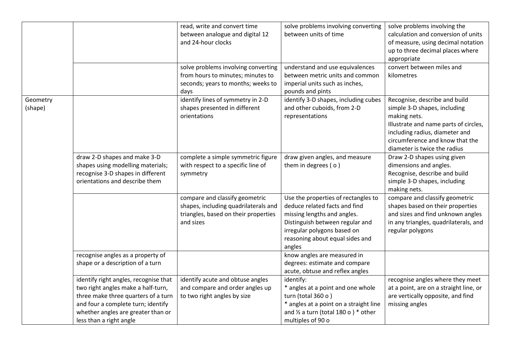|          |                                       | read, write and convert time         | solve problems involving converting               | solve problems involving the           |
|----------|---------------------------------------|--------------------------------------|---------------------------------------------------|----------------------------------------|
|          |                                       | between analogue and digital 12      | between units of time                             | calculation and conversion of units    |
|          |                                       | and 24-hour clocks                   |                                                   | of measure, using decimal notation     |
|          |                                       |                                      |                                                   | up to three decimal places where       |
|          |                                       |                                      |                                                   | appropriate                            |
|          |                                       | solve problems involving converting  | understand and use equivalences                   | convert between miles and              |
|          |                                       | from hours to minutes; minutes to    | between metric units and common                   | kilometres                             |
|          |                                       | seconds; years to months; weeks to   | imperial units such as inches,                    |                                        |
|          |                                       | days                                 | pounds and pints                                  |                                        |
| Geometry |                                       | identify lines of symmetry in 2-D    | identify 3-D shapes, including cubes              | Recognise, describe and build          |
| (shape)  |                                       | shapes presented in different        | and other cuboids, from 2-D                       | simple 3-D shapes, including           |
|          |                                       | orientations                         | representations                                   | making nets.                           |
|          |                                       |                                      |                                                   | Illustrate and name parts of circles,  |
|          |                                       |                                      |                                                   | including radius, diameter and         |
|          |                                       |                                      |                                                   | circumference and know that the        |
|          |                                       |                                      |                                                   | diameter is twice the radius           |
|          | draw 2-D shapes and make 3-D          | complete a simple symmetric figure   | draw given angles, and measure                    | Draw 2-D shapes using given            |
|          | shapes using modelling materials;     | with respect to a specific line of   | them in degrees (o)                               | dimensions and angles.                 |
|          | recognise 3-D shapes in different     | symmetry                             |                                                   | Recognise, describe and build          |
|          | orientations and describe them        |                                      |                                                   | simple 3-D shapes, including           |
|          |                                       |                                      |                                                   | making nets.                           |
|          |                                       | compare and classify geometric       | Use the properties of rectangles to               | compare and classify geometric         |
|          |                                       | shapes, including quadrilaterals and | deduce related facts and find                     | shapes based on their properties       |
|          |                                       | triangles, based on their properties | missing lengths and angles.                       | and sizes and find unknown angles      |
|          |                                       | and sizes                            | Distinguish between regular and                   | in any triangles, quadrilaterals, and  |
|          |                                       |                                      | irregular polygons based on                       | regular polygons                       |
|          |                                       |                                      | reasoning about equal sides and                   |                                        |
|          |                                       |                                      | angles                                            |                                        |
|          | recognise angles as a property of     |                                      | know angles are measured in                       |                                        |
|          | shape or a description of a turn      |                                      | degrees: estimate and compare                     |                                        |
|          |                                       |                                      | acute, obtuse and reflex angles                   |                                        |
|          | identify right angles, recognise that | identify acute and obtuse angles     | identify:                                         | recognise angles where they meet       |
|          | two right angles make a half-turn,    | and compare and order angles up      | * angles at a point and one whole                 | at a point, are on a straight line, or |
|          | three make three quarters of a turn   | to two right angles by size          | turn (total 360 o)                                | are vertically opposite, and find      |
|          | and four a complete turn; identify    |                                      | * angles at a point on a straight line            | missing angles                         |
|          | whether angles are greater than or    |                                      | and $\frac{1}{2}$ a turn (total 180 o ) $*$ other |                                        |
|          | less than a right angle               |                                      | multiples of 90 o                                 |                                        |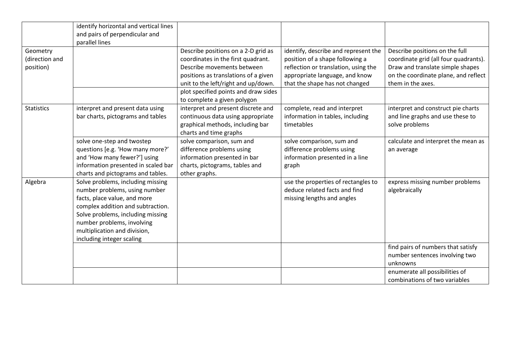| Geometry          | identify horizontal and vertical lines<br>and pairs of perpendicular and<br>parallel lines | Describe positions on a 2-D grid as                                 | identify, describe and represent the | Describe positions on the full        |
|-------------------|--------------------------------------------------------------------------------------------|---------------------------------------------------------------------|--------------------------------------|---------------------------------------|
| (direction and    |                                                                                            | coordinates in the first quadrant.                                  | position of a shape following a      | coordinate grid (all four quadrants). |
| position)         |                                                                                            | Describe movements between                                          | reflection or translation, using the | Draw and translate simple shapes      |
|                   |                                                                                            | positions as translations of a given                                | appropriate language, and know       | on the coordinate plane, and reflect  |
|                   |                                                                                            | unit to the left/right and up/down.                                 | that the shape has not changed       | them in the axes.                     |
|                   |                                                                                            | plot specified points and draw sides<br>to complete a given polygon |                                      |                                       |
| <b>Statistics</b> | interpret and present data using                                                           | interpret and present discrete and                                  | complete, read and interpret         | interpret and construct pie charts    |
|                   | bar charts, pictograms and tables                                                          | continuous data using appropriate                                   | information in tables, including     | and line graphs and use these to      |
|                   |                                                                                            | graphical methods, including bar                                    | timetables                           | solve problems                        |
|                   |                                                                                            | charts and time graphs                                              |                                      |                                       |
|                   | solve one-step and twostep                                                                 | solve comparison, sum and                                           | solve comparison, sum and            | calculate and interpret the mean as   |
|                   | questions [e.g. 'How many more?'                                                           | difference problems using                                           | difference problems using            | an average                            |
|                   | and 'How many fewer?'] using                                                               | information presented in bar                                        | information presented in a line      |                                       |
|                   | information presented in scaled bar                                                        | charts, pictograms, tables and                                      | graph                                |                                       |
|                   | charts and pictograms and tables.                                                          | other graphs.                                                       |                                      |                                       |
| Algebra           | Solve problems, including missing                                                          |                                                                     | use the properties of rectangles to  | express missing number problems       |
|                   | number problems, using number                                                              |                                                                     | deduce related facts and find        | algebraically                         |
|                   | facts, place value, and more                                                               |                                                                     | missing lengths and angles           |                                       |
|                   | complex addition and subtraction.                                                          |                                                                     |                                      |                                       |
|                   | Solve problems, including missing                                                          |                                                                     |                                      |                                       |
|                   | number problems, involving<br>multiplication and division,                                 |                                                                     |                                      |                                       |
|                   | including integer scaling                                                                  |                                                                     |                                      |                                       |
|                   |                                                                                            |                                                                     |                                      | find pairs of numbers that satisfy    |
|                   |                                                                                            |                                                                     |                                      | number sentences involving two        |
|                   |                                                                                            |                                                                     |                                      | unknowns                              |
|                   |                                                                                            |                                                                     |                                      | enumerate all possibilities of        |
|                   |                                                                                            |                                                                     |                                      | combinations of two variables         |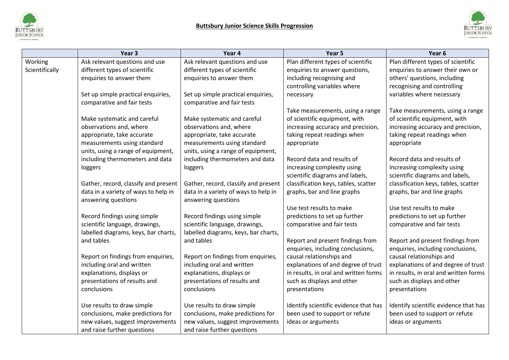



|                | Year 3                               | Year 4                               | Year 5                                | Year <sub>6</sub>                     |
|----------------|--------------------------------------|--------------------------------------|---------------------------------------|---------------------------------------|
| Working        | Ask relevant questions and use       | Ask relevant questions and use       | Plan different types of scientific    | Plan different types of scientific    |
| Scientifically | different types of scientific        | different types of scientific        | enquiries to answer questions,        | enquiries to answer their own or      |
|                | enquiries to answer them             | enquiries to answer them             | including recognising and             | others' questions, including          |
|                |                                      |                                      | controlling variables where           | recognising and controlling           |
|                | Set up simple practical enquiries,   | Set up simple practical enquiries,   | necessary                             | variables where necessary             |
|                | comparative and fair tests           | comparative and fair tests           |                                       |                                       |
|                |                                      |                                      | Take measurements, using a range      | Take measurements, using a range      |
|                | Make systematic and careful          | Make systematic and careful          | of scientific equipment, with         | of scientific equipment, with         |
|                | observations and, where              | observations and, where              | increasing accuracy and precision,    | increasing accuracy and precision,    |
|                | appropriate, take accurate           | appropriate, take accurate           | taking repeat readings when           | taking repeat readings when           |
|                | measurements using standard          | measurements using standard          | appropriate                           | appropriate                           |
|                | units, using a range of equipment,   | units, using a range of equipment,   |                                       |                                       |
|                | including thermometers and data      | including thermometers and data      | Record data and results of            | Record data and results of            |
|                | loggers                              | loggers                              | increasing complexity using           | increasing complexity using           |
|                |                                      |                                      | scientific diagrams and labels,       | scientific diagrams and labels,       |
|                | Gather, record, classify and present | Gather, record, classify and present | classification keys, tables, scatter  | classification keys, tables, scatter  |
|                | data in a variety of ways to help in | data in a variety of ways to help in | graphs, bar and line graphs           | graphs, bar and line graphs           |
|                | answering questions                  | answering questions                  |                                       |                                       |
|                |                                      |                                      | Use test results to make              | Use test results to make              |
|                | Record findings using simple         | Record findings using simple         | predictions to set up further         | predictions to set up further         |
|                | scientific language, drawings,       | scientific language, drawings,       | comparative and fair tests            | comparative and fair tests            |
|                | labelled diagrams, keys, bar charts, | labelled diagrams, keys, bar charts, |                                       |                                       |
|                | and tables                           | and tables                           | Report and present findings from      | Report and present findings from      |
|                |                                      |                                      | enquiries, including conclusions,     | enquiries, including conclusions,     |
|                | Report on findings from enquiries,   | Report on findings from enquiries,   | causal relationships and              | causal relationships and              |
|                | including oral and written           | including oral and written           | explanations of and degree of trust   | explanations of and degree of trust   |
|                | explanations, displays or            | explanations, displays or            | in results, in oral and written forms | in results, in oral and written forms |
|                | presentations of results and         | presentations of results and         | such as displays and other            | such as displays and other            |
|                | conclusions                          | conclusions                          | presentations                         | presentations                         |
|                | Use results to draw simple           | Use results to draw simple           | Identify scientific evidence that has | Identify scientific evidence that has |
|                | conclusions, make predictions for    | conclusions, make predictions for    | been used to support or refute        | been used to support or refute        |
|                | new values, suggest improvements     | new values, suggest improvements     | ideas or arguments                    | ideas or arguments                    |
|                | and raise further questions          | and raise further questions          |                                       |                                       |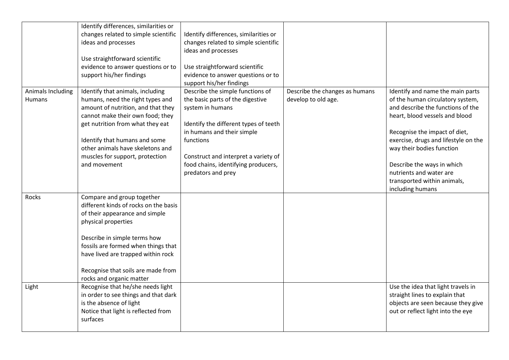|                   | Identify differences, similarities or |                                       |                                |                                      |
|-------------------|---------------------------------------|---------------------------------------|--------------------------------|--------------------------------------|
|                   | changes related to simple scientific  | Identify differences, similarities or |                                |                                      |
|                   | ideas and processes                   | changes related to simple scientific  |                                |                                      |
|                   |                                       | ideas and processes                   |                                |                                      |
|                   | Use straightforward scientific        |                                       |                                |                                      |
|                   | evidence to answer questions or to    | Use straightforward scientific        |                                |                                      |
|                   | support his/her findings              | evidence to answer questions or to    |                                |                                      |
|                   |                                       | support his/her findings              |                                |                                      |
| Animals Including | Identify that animals, including      | Describe the simple functions of      | Describe the changes as humans | Identify and name the main parts     |
| Humans            | humans, need the right types and      | the basic parts of the digestive      | develop to old age.            | of the human circulatory system,     |
|                   | amount of nutrition, and that they    | system in humans                      |                                | and describe the functions of the    |
|                   | cannot make their own food; they      |                                       |                                | heart, blood vessels and blood       |
|                   | get nutrition from what they eat      | Identify the different types of teeth |                                |                                      |
|                   |                                       | in humans and their simple            |                                | Recognise the impact of diet,        |
|                   | Identify that humans and some         | functions                             |                                | exercise, drugs and lifestyle on the |
|                   | other animals have skeletons and      |                                       |                                | way their bodies function            |
|                   | muscles for support, protection       | Construct and interpret a variety of  |                                |                                      |
|                   | and movement                          | food chains, identifying producers,   |                                | Describe the ways in which           |
|                   |                                       | predators and prey                    |                                | nutrients and water are              |
|                   |                                       |                                       |                                | transported within animals,          |
|                   |                                       |                                       |                                | including humans                     |
| Rocks             | Compare and group together            |                                       |                                |                                      |
|                   | different kinds of rocks on the basis |                                       |                                |                                      |
|                   | of their appearance and simple        |                                       |                                |                                      |
|                   | physical properties                   |                                       |                                |                                      |
|                   |                                       |                                       |                                |                                      |
|                   | Describe in simple terms how          |                                       |                                |                                      |
|                   | fossils are formed when things that   |                                       |                                |                                      |
|                   | have lived are trapped within rock    |                                       |                                |                                      |
|                   |                                       |                                       |                                |                                      |
|                   | Recognise that soils are made from    |                                       |                                |                                      |
|                   | rocks and organic matter              |                                       |                                |                                      |
| Light             | Recognise that he/she needs light     |                                       |                                | Use the idea that light travels in   |
|                   | in order to see things and that dark  |                                       |                                | straight lines to explain that       |
|                   | is the absence of light               |                                       |                                | objects are seen because they give   |
|                   | Notice that light is reflected from   |                                       |                                | out or reflect light into the eye    |
|                   | surfaces                              |                                       |                                |                                      |
|                   |                                       |                                       |                                |                                      |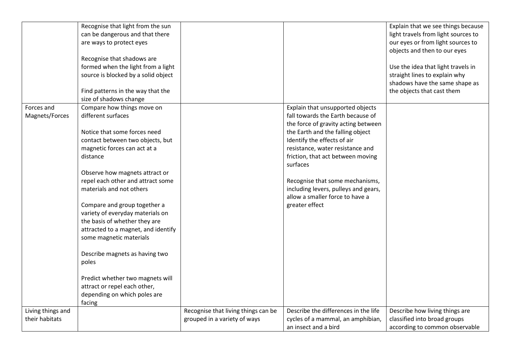|                   | Recognise that light from the sun   |                                     |                                      | Explain that we see things because  |
|-------------------|-------------------------------------|-------------------------------------|--------------------------------------|-------------------------------------|
|                   | can be dangerous and that there     |                                     |                                      | light travels from light sources to |
|                   | are ways to protect eyes            |                                     |                                      | our eyes or from light sources to   |
|                   |                                     |                                     |                                      | objects and then to our eyes        |
|                   | Recognise that shadows are          |                                     |                                      |                                     |
|                   | formed when the light from a light  |                                     |                                      | Use the idea that light travels in  |
|                   | source is blocked by a solid object |                                     |                                      | straight lines to explain why       |
|                   |                                     |                                     |                                      | shadows have the same shape as      |
|                   | Find patterns in the way that the   |                                     |                                      | the objects that cast them          |
|                   | size of shadows change              |                                     |                                      |                                     |
| Forces and        | Compare how things move on          |                                     | Explain that unsupported objects     |                                     |
| Magnets/Forces    | different surfaces                  |                                     | fall towards the Earth because of    |                                     |
|                   |                                     |                                     | the force of gravity acting between  |                                     |
|                   | Notice that some forces need        |                                     | the Earth and the falling object     |                                     |
|                   | contact between two objects, but    |                                     | Identify the effects of air          |                                     |
|                   | magnetic forces can act at a        |                                     | resistance, water resistance and     |                                     |
|                   | distance                            |                                     | friction, that act between moving    |                                     |
|                   |                                     |                                     | surfaces                             |                                     |
|                   | Observe how magnets attract or      |                                     |                                      |                                     |
|                   | repel each other and attract some   |                                     | Recognise that some mechanisms,      |                                     |
|                   | materials and not others            |                                     | including levers, pulleys and gears, |                                     |
|                   |                                     |                                     | allow a smaller force to have a      |                                     |
|                   | Compare and group together a        |                                     | greater effect                       |                                     |
|                   | variety of everyday materials on    |                                     |                                      |                                     |
|                   | the basis of whether they are       |                                     |                                      |                                     |
|                   | attracted to a magnet, and identify |                                     |                                      |                                     |
|                   | some magnetic materials             |                                     |                                      |                                     |
|                   |                                     |                                     |                                      |                                     |
|                   | Describe magnets as having two      |                                     |                                      |                                     |
|                   | poles                               |                                     |                                      |                                     |
|                   |                                     |                                     |                                      |                                     |
|                   | Predict whether two magnets will    |                                     |                                      |                                     |
|                   | attract or repel each other,        |                                     |                                      |                                     |
|                   | depending on which poles are        |                                     |                                      |                                     |
|                   | facing                              |                                     |                                      |                                     |
| Living things and |                                     | Recognise that living things can be | Describe the differences in the life | Describe how living things are      |
| their habitats    |                                     | grouped in a variety of ways        | cycles of a mammal, an amphibian,    | classified into broad groups        |
|                   |                                     |                                     | an insect and a bird                 | according to common observable      |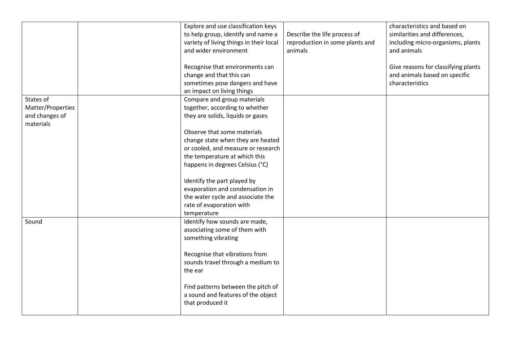|                   | Explore and use classification keys     |                                 | characteristics and based on        |
|-------------------|-----------------------------------------|---------------------------------|-------------------------------------|
|                   | to help group, identify and name a      | Describe the life process of    | similarities and differences,       |
|                   | variety of living things in their local | reproduction in some plants and | including micro-organisms, plants   |
|                   | and wider environment                   | animals                         | and animals                         |
|                   |                                         |                                 |                                     |
|                   | Recognise that environments can         |                                 | Give reasons for classifying plants |
|                   | change and that this can                |                                 | and animals based on specific       |
|                   | sometimes pose dangers and have         |                                 | characteristics                     |
|                   | an impact on living things              |                                 |                                     |
| States of         | Compare and group materials             |                                 |                                     |
| Matter/Properties | together, according to whether          |                                 |                                     |
| and changes of    | they are solids, liquids or gases       |                                 |                                     |
| materials         |                                         |                                 |                                     |
|                   | Observe that some materials             |                                 |                                     |
|                   | change state when they are heated       |                                 |                                     |
|                   | or cooled, and measure or research      |                                 |                                     |
|                   | the temperature at which this           |                                 |                                     |
|                   | happens in degrees Celsius (°C)         |                                 |                                     |
|                   |                                         |                                 |                                     |
|                   | Identify the part played by             |                                 |                                     |
|                   | evaporation and condensation in         |                                 |                                     |
|                   | the water cycle and associate the       |                                 |                                     |
|                   | rate of evaporation with                |                                 |                                     |
|                   | temperature                             |                                 |                                     |
| Sound             | Identify how sounds are made,           |                                 |                                     |
|                   | associating some of them with           |                                 |                                     |
|                   | something vibrating                     |                                 |                                     |
|                   |                                         |                                 |                                     |
|                   | Recognise that vibrations from          |                                 |                                     |
|                   | sounds travel through a medium to       |                                 |                                     |
|                   | the ear                                 |                                 |                                     |
|                   |                                         |                                 |                                     |
|                   | Find patterns between the pitch of      |                                 |                                     |
|                   | a sound and features of the object      |                                 |                                     |
|                   | that produced it                        |                                 |                                     |
|                   |                                         |                                 |                                     |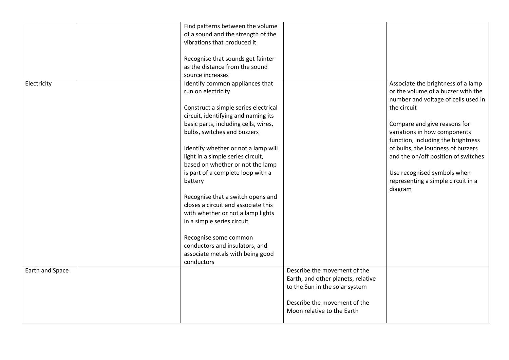|                 | Find patterns between the volume     |                                    |                                     |
|-----------------|--------------------------------------|------------------------------------|-------------------------------------|
|                 | of a sound and the strength of the   |                                    |                                     |
|                 | vibrations that produced it          |                                    |                                     |
|                 |                                      |                                    |                                     |
|                 | Recognise that sounds get fainter    |                                    |                                     |
|                 | as the distance from the sound       |                                    |                                     |
|                 | source increases                     |                                    |                                     |
| Electricity     | Identify common appliances that      |                                    | Associate the brightness of a lamp  |
|                 | run on electricity                   |                                    | or the volume of a buzzer with the  |
|                 |                                      |                                    | number and voltage of cells used in |
|                 |                                      |                                    | the circuit                         |
|                 | Construct a simple series electrical |                                    |                                     |
|                 | circuit, identifying and naming its  |                                    |                                     |
|                 | basic parts, including cells, wires, |                                    | Compare and give reasons for        |
|                 | bulbs, switches and buzzers          |                                    | variations in how components        |
|                 |                                      |                                    | function, including the brightness  |
|                 | Identify whether or not a lamp will  |                                    | of bulbs, the loudness of buzzers   |
|                 | light in a simple series circuit,    |                                    | and the on/off position of switches |
|                 | based on whether or not the lamp     |                                    |                                     |
|                 | is part of a complete loop with a    |                                    | Use recognised symbols when         |
|                 | battery                              |                                    | representing a simple circuit in a  |
|                 |                                      |                                    | diagram                             |
|                 | Recognise that a switch opens and    |                                    |                                     |
|                 | closes a circuit and associate this  |                                    |                                     |
|                 | with whether or not a lamp lights    |                                    |                                     |
|                 | in a simple series circuit           |                                    |                                     |
|                 |                                      |                                    |                                     |
|                 | Recognise some common                |                                    |                                     |
|                 | conductors and insulators, and       |                                    |                                     |
|                 | associate metals with being good     |                                    |                                     |
|                 | conductors                           |                                    |                                     |
| Earth and Space |                                      | Describe the movement of the       |                                     |
|                 |                                      | Earth, and other planets, relative |                                     |
|                 |                                      | to the Sun in the solar system     |                                     |
|                 |                                      |                                    |                                     |
|                 |                                      | Describe the movement of the       |                                     |
|                 |                                      |                                    |                                     |
|                 |                                      | Moon relative to the Earth         |                                     |
|                 |                                      |                                    |                                     |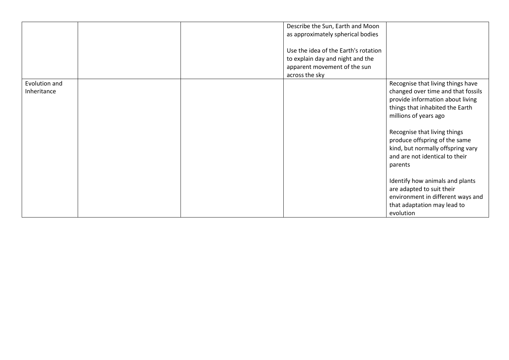|                              | Describe the Sun, Earth and Moon<br>as approximately spherical bodies<br>Use the idea of the Earth's rotation<br>to explain day and night and the<br>apparent movement of the sun<br>across the sky |                                                                                                                                                                                                                                                                                                                                                                                                                                 |
|------------------------------|-----------------------------------------------------------------------------------------------------------------------------------------------------------------------------------------------------|---------------------------------------------------------------------------------------------------------------------------------------------------------------------------------------------------------------------------------------------------------------------------------------------------------------------------------------------------------------------------------------------------------------------------------|
| Evolution and<br>Inheritance |                                                                                                                                                                                                     | Recognise that living things have<br>changed over time and that fossils<br>provide information about living<br>things that inhabited the Earth<br>millions of years ago<br>Recognise that living things<br>produce offspring of the same<br>kind, but normally offspring vary<br>and are not identical to their<br>parents<br>Identify how animals and plants<br>are adapted to suit their<br>environment in different ways and |
|                              |                                                                                                                                                                                                     | that adaptation may lead to<br>evolution                                                                                                                                                                                                                                                                                                                                                                                        |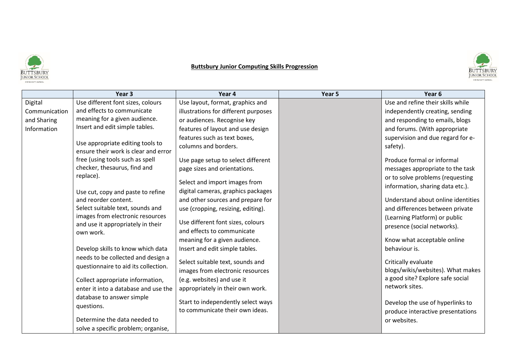

# **Buttsbury Junior Computing Skills Progression**



|               | Year <sub>3</sub>                                                        | Year 4                               | Year 5 | Year <sub>6</sub>                                        |
|---------------|--------------------------------------------------------------------------|--------------------------------------|--------|----------------------------------------------------------|
| Digital       | Use different font sizes, colours                                        | Use layout, format, graphics and     |        | Use and refine their skills while                        |
| Communication | and effects to communicate                                               | illustrations for different purposes |        | independently creating, sending                          |
| and Sharing   | meaning for a given audience.                                            | or audiences. Recognise key          |        | and responding to emails, blogs                          |
| Information   | Insert and edit simple tables.                                           | features of layout and use design    |        | and forums. (With appropriate                            |
|               |                                                                          | features such as text boxes,         |        | supervision and due regard for e-                        |
|               | Use appropriate editing tools to<br>ensure their work is clear and error | columns and borders.                 |        | safety).                                                 |
|               | free (using tools such as spell                                          | Use page setup to select different   |        | Produce formal or informal                               |
|               | checker, thesaurus, find and                                             | page sizes and orientations.         |        | messages appropriate to the task                         |
|               | replace).                                                                | Select and import images from        |        | or to solve problems (requesting                         |
|               |                                                                          | digital cameras, graphics packages   |        | information, sharing data etc.).                         |
|               | Use cut, copy and paste to refine<br>and reorder content.                | and other sources and prepare for    |        | Understand about online identities                       |
|               | Select suitable text, sounds and                                         | use (cropping, resizing, editing).   |        | and differences between private                          |
|               | images from electronic resources                                         |                                      |        | (Learning Platform) or public                            |
|               | and use it appropriately in their                                        | Use different font sizes, colours    |        | presence (social networks).                              |
|               | own work.                                                                | and effects to communicate           |        |                                                          |
|               |                                                                          | meaning for a given audience.        |        | Know what acceptable online                              |
|               | Develop skills to know which data                                        | Insert and edit simple tables.       |        | behaviour is.                                            |
|               | needs to be collected and design a                                       | Select suitable text, sounds and     |        |                                                          |
|               | questionnaire to aid its collection.                                     |                                      |        | Critically evaluate<br>blogs/wikis/websites). What makes |
|               | Collect appropriate information,                                         | images from electronic resources     |        | a good site? Explore safe social                         |
|               | enter it into a database and use the                                     | (e.g. websites) and use it           |        | network sites.                                           |
|               |                                                                          | appropriately in their own work.     |        |                                                          |
|               | database to answer simple                                                | Start to independently select ways   |        | Develop the use of hyperlinks to                         |
|               | questions.                                                               | to communicate their own ideas.      |        | produce interactive presentations                        |
|               | Determine the data needed to                                             |                                      |        | or websites.                                             |
|               | solve a specific problem; organise,                                      |                                      |        |                                                          |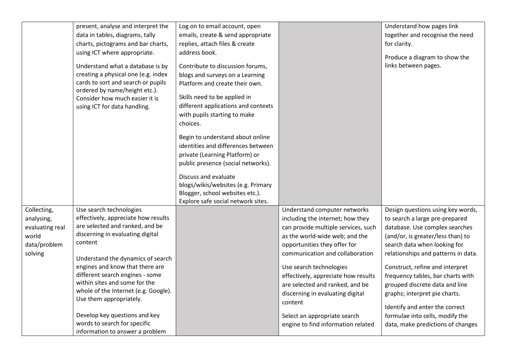|                 | present, analyse and interpret the   | Log on to email account, open       |                                     | Understand how pages link           |
|-----------------|--------------------------------------|-------------------------------------|-------------------------------------|-------------------------------------|
|                 | data in tables, diagrams, tally      | emails, create & send appropriate   |                                     | together and recognise the need     |
|                 | charts, pictograms and bar charts,   | replies, attach files & create      |                                     | for clarity.                        |
|                 | using ICT where appropriate.         | address book.                       |                                     |                                     |
|                 |                                      |                                     |                                     | Produce a diagram to show the       |
|                 | Understand what a database is by     | Contribute to discussion forums,    |                                     | links between pages.                |
|                 | creating a physical one (e.g. index  | blogs and surveys on a Learning     |                                     |                                     |
|                 | cards to sort and search or pupils   | Platform and create their own.      |                                     |                                     |
|                 | ordered by name/height etc.).        | Skills need to be applied in        |                                     |                                     |
|                 | Consider how much easier it is       | different applications and contexts |                                     |                                     |
|                 | using ICT for data handling.         | with pupils starting to make        |                                     |                                     |
|                 |                                      | choices.                            |                                     |                                     |
|                 |                                      |                                     |                                     |                                     |
|                 |                                      | Begin to understand about online    |                                     |                                     |
|                 |                                      | identities and differences between  |                                     |                                     |
|                 |                                      | private (Learning Platform) or      |                                     |                                     |
|                 |                                      | public presence (social networks).  |                                     |                                     |
|                 |                                      |                                     |                                     |                                     |
|                 |                                      | Discuss and evaluate                |                                     |                                     |
|                 |                                      | blogs/wikis/websites (e.g. Primary  |                                     |                                     |
|                 |                                      | Blogger, school websites etc.).     |                                     |                                     |
| Collecting,     | Use search technologies              | Explore safe social network sites.  | Understand computer networks        | Design questions using key words,   |
|                 | effectively, appreciate how results  |                                     |                                     |                                     |
| analysing,      | are selected and ranked, and be      |                                     | including the internet; how they    | to search a large pre-prepared      |
| evaluating real | discerning in evaluating digital     |                                     | can provide multiple services, such | database. Use complex searches      |
| world           | content                              |                                     | as the world-wide web; and the      | (and/or, is greater/less than) to   |
| data/problem    |                                      |                                     | opportunities they offer for        | search data when looking for        |
| solving         | Understand the dynamics of search    |                                     | communication and collaboration     | relationships and patterns in data. |
|                 | engines and know that there are      |                                     | Use search technologies             | Construct, refine and interpret     |
|                 | different search engines - some      |                                     | effectively, appreciate how results | frequency tables, bar charts with   |
|                 | within sites and some for the        |                                     | are selected and ranked, and be     | grouped discrete data and line      |
|                 | whole of the Internet (e.g. Google). |                                     | discerning in evaluating digital    | graphs; interpret pie charts.       |
|                 | Use them appropriately.              |                                     | content                             |                                     |
|                 |                                      |                                     |                                     | Identify and enter the correct      |
|                 | Develop key questions and key        |                                     | Select an appropriate search        | formulae into cells, modify the     |
|                 | words to search for specific         |                                     | engine to find information related  | data, make predictions of changes   |
|                 | information to answer a problem      |                                     |                                     |                                     |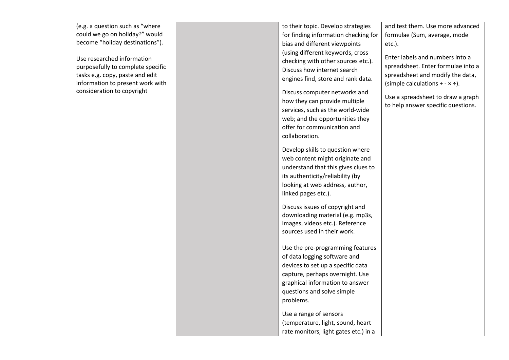| (e.g. a question such as "where                                                                                                                                      | to their topic. Develop strategies                                                                                                                                                                       | and test them. Use more advanced                                                                                                                                                        |
|----------------------------------------------------------------------------------------------------------------------------------------------------------------------|----------------------------------------------------------------------------------------------------------------------------------------------------------------------------------------------------------|-----------------------------------------------------------------------------------------------------------------------------------------------------------------------------------------|
| could we go on holiday?" would                                                                                                                                       | for finding information checking for                                                                                                                                                                     | formulae (Sum, average, mode                                                                                                                                                            |
| become "holiday destinations").                                                                                                                                      | bias and different viewpoints                                                                                                                                                                            | $etc.$ ).                                                                                                                                                                               |
| Use researched information<br>purposefully to complete specific<br>tasks e.g. copy, paste and edit<br>information to present work with<br>consideration to copyright | (using different keywords, cross<br>checking with other sources etc.).<br>Discuss how internet search<br>engines find, store and rank data.<br>Discuss computer networks and                             | Enter labels and numbers into a<br>spreadsheet. Enter formulae into a<br>spreadsheet and modify the data,<br>(simple calculations + - $\times$ ÷).<br>Use a spreadsheet to draw a graph |
|                                                                                                                                                                      | how they can provide multiple<br>services, such as the world-wide<br>web; and the opportunities they<br>offer for communication and<br>collaboration.                                                    | to help answer specific questions.                                                                                                                                                      |
|                                                                                                                                                                      | Develop skills to question where<br>web content might originate and<br>understand that this gives clues to<br>its authenticity/reliability (by<br>looking at web address, author,<br>linked pages etc.). |                                                                                                                                                                                         |
|                                                                                                                                                                      | Discuss issues of copyright and<br>downloading material (e.g. mp3s,<br>images, videos etc.). Reference<br>sources used in their work.                                                                    |                                                                                                                                                                                         |
|                                                                                                                                                                      | Use the pre-programming features<br>of data logging software and                                                                                                                                         |                                                                                                                                                                                         |
|                                                                                                                                                                      | devices to set up a specific data                                                                                                                                                                        |                                                                                                                                                                                         |
|                                                                                                                                                                      | capture, perhaps overnight. Use                                                                                                                                                                          |                                                                                                                                                                                         |
|                                                                                                                                                                      | graphical information to answer                                                                                                                                                                          |                                                                                                                                                                                         |
|                                                                                                                                                                      | questions and solve simple                                                                                                                                                                               |                                                                                                                                                                                         |
|                                                                                                                                                                      |                                                                                                                                                                                                          |                                                                                                                                                                                         |
|                                                                                                                                                                      | problems.                                                                                                                                                                                                |                                                                                                                                                                                         |
|                                                                                                                                                                      | Use a range of sensors                                                                                                                                                                                   |                                                                                                                                                                                         |
|                                                                                                                                                                      | (temperature, light, sound, heart                                                                                                                                                                        |                                                                                                                                                                                         |
|                                                                                                                                                                      | rate monitors, light gates etc.) in a                                                                                                                                                                    |                                                                                                                                                                                         |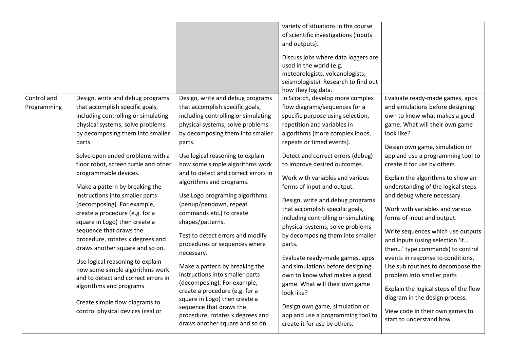| Control and | Design, write and debug programs                                                                                                                                                                                                                                                                                                                                                                                                                                                                                                                                                           | Design, write and debug programs                                                                                                                                                                                                                                                                                                                                                                                                                                                                                                                                                                               | variety of situations in the course<br>of scientific investigations (inputs<br>and outputs).<br>Discuss jobs where data loggers are<br>used in the world (e.g.<br>meteorologists, volcanologists,<br>seismologists). Research to find out<br>how they log data.<br>In Scratch, develop more complex                                                                                                                                                                                                                                                                                               | Evaluate ready-made games, apps                                                                                                                                                                                                                                                                                                                                                                                                                                                                                                                                                                         |
|-------------|--------------------------------------------------------------------------------------------------------------------------------------------------------------------------------------------------------------------------------------------------------------------------------------------------------------------------------------------------------------------------------------------------------------------------------------------------------------------------------------------------------------------------------------------------------------------------------------------|----------------------------------------------------------------------------------------------------------------------------------------------------------------------------------------------------------------------------------------------------------------------------------------------------------------------------------------------------------------------------------------------------------------------------------------------------------------------------------------------------------------------------------------------------------------------------------------------------------------|---------------------------------------------------------------------------------------------------------------------------------------------------------------------------------------------------------------------------------------------------------------------------------------------------------------------------------------------------------------------------------------------------------------------------------------------------------------------------------------------------------------------------------------------------------------------------------------------------|---------------------------------------------------------------------------------------------------------------------------------------------------------------------------------------------------------------------------------------------------------------------------------------------------------------------------------------------------------------------------------------------------------------------------------------------------------------------------------------------------------------------------------------------------------------------------------------------------------|
| Programming | that accomplish specific goals,<br>including controlling or simulating<br>physical systems; solve problems<br>by decomposing them into smaller<br>parts.                                                                                                                                                                                                                                                                                                                                                                                                                                   | that accomplish specific goals,<br>including controlling or simulating<br>physical systems; solve problems<br>by decomposing them into smaller<br>parts.                                                                                                                                                                                                                                                                                                                                                                                                                                                       | flow diagrams/sequences for a<br>specific purpose using selection,<br>repetition and variables in<br>algorithms (more complex loops,<br>repeats or timed events).                                                                                                                                                                                                                                                                                                                                                                                                                                 | and simulations before designing<br>own to know what makes a good<br>game. What will their own game<br>look like?<br>Design own game, simulation or                                                                                                                                                                                                                                                                                                                                                                                                                                                     |
|             | Solve open ended problems with a<br>floor robot, screen turtle and other<br>programmable devices.<br>Make a pattern by breaking the<br>instructions into smaller parts<br>(decomposing). For example,<br>create a procedure (e.g. for a<br>square in Logo) then create a<br>sequence that draws the<br>procedure, rotates x degrees and<br>draws another square and so on.<br>Use logical reasoning to explain<br>how some simple algorithms work<br>and to detect and correct errors in<br>algorithms and programs<br>Create simple flow diagrams to<br>control physical devices (real or | Use logical reasoning to explain<br>how some simple algorithms work<br>and to detect and correct errors in<br>algorithms and programs.<br>Use Logo programing algorithms<br>(penup/pendown, repeat<br>commands etc.) to create<br>shapes/patterns.<br>Test to detect errors and modify<br>procedures or sequences where<br>necessary.<br>Make a pattern by breaking the<br>instructions into smaller parts<br>(decomposing). For example,<br>create a procedure (e.g. for a<br>square in Logo) then create a<br>sequence that draws the<br>procedure, rotates x degrees and<br>draws another square and so on. | Detect and correct errors (debug)<br>to improve desired outcomes.<br>Work with variables and various<br>forms of input and output.<br>Design, write and debug programs<br>that accomplish specific goals,<br>including controlling or simulating<br>physical systems; solve problems<br>by decomposing them into smaller<br>parts.<br>Evaluate ready-made games, apps<br>and simulations before designing<br>own to know what makes a good<br>game. What will their own game<br>look like?<br>Design own game, simulation or<br>app and use a programming tool to<br>create it for use by others. | app and use a programming tool to<br>create it for use by others.<br>Explain the algorithms to show an<br>understanding of the logical steps<br>and debug where necessary.<br>Work with variables and various<br>forms of input and output.<br>Write sequences which use outputs<br>and inputs (using selection 'if<br>then' type commands) to control<br>events in response to conditions.<br>Use sub routines to decompose the<br>problem into smaller parts<br>Explain the logical steps of the flow<br>diagram in the design process.<br>View code in their own games to<br>start to understand how |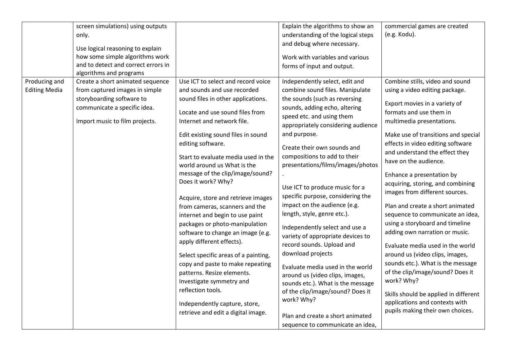|                      | screen simulations) using outputs                                   |                                      | Explain the algorithms to show an  | commercial games are created          |
|----------------------|---------------------------------------------------------------------|--------------------------------------|------------------------------------|---------------------------------------|
|                      | only.                                                               |                                      | understanding of the logical steps | (e.g. Kodu).                          |
|                      |                                                                     |                                      | and debug where necessary.         |                                       |
|                      | Use logical reasoning to explain<br>how some simple algorithms work |                                      | Work with variables and various    |                                       |
|                      | and to detect and correct errors in                                 |                                      |                                    |                                       |
|                      | algorithms and programs                                             |                                      | forms of input and output.         |                                       |
| Producing and        | Create a short animated sequence                                    | Use ICT to select and record voice   | Independently select, edit and     | Combine stills, video and sound       |
| <b>Editing Media</b> | from captured images in simple                                      | and sounds and use recorded          | combine sound files. Manipulate    | using a video editing package.        |
|                      | storyboarding software to                                           | sound files in other applications.   | the sounds (such as reversing      |                                       |
|                      | communicate a specific idea.                                        |                                      | sounds, adding echo, altering      | Export movies in a variety of         |
|                      |                                                                     | Locate and use sound files from      | speed etc. and using them          | formats and use them in               |
|                      | Import music to film projects.                                      | Internet and network file.           | appropriately considering audience | multimedia presentations.             |
|                      |                                                                     | Edit existing sound files in sound   | and purpose.                       | Make use of transitions and special   |
|                      |                                                                     | editing software.                    |                                    | effects in video editing software     |
|                      |                                                                     |                                      | Create their own sounds and        | and understand the effect they        |
|                      |                                                                     | Start to evaluate media used in the  | compositions to add to their       | have on the audience.                 |
|                      |                                                                     | world around us What is the          | presentations/films/images/photos  |                                       |
|                      |                                                                     | message of the clip/image/sound?     |                                    | Enhance a presentation by             |
|                      |                                                                     | Does it work? Why?                   | Use ICT to produce music for a     | acquiring, storing, and combining     |
|                      |                                                                     | Acquire, store and retrieve images   | specific purpose, considering the  | images from different sources.        |
|                      |                                                                     | from cameras, scanners and the       | impact on the audience (e.g.       | Plan and create a short animated      |
|                      |                                                                     | internet and begin to use paint      | length, style, genre etc.).        | sequence to communicate an idea,      |
|                      |                                                                     | packages or photo-manipulation       |                                    | using a storyboard and timeline       |
|                      |                                                                     | software to change an image (e.g.    | Independently select and use a     | adding own narration or music.        |
|                      |                                                                     | apply different effects).            | variety of appropriate devices to  |                                       |
|                      |                                                                     |                                      | record sounds. Upload and          | Evaluate media used in the world      |
|                      |                                                                     | Select specific areas of a painting, | download projects                  | around us (video clips, images,       |
|                      |                                                                     | copy and paste to make repeating     | Evaluate media used in the world   | sounds etc.). What is the message     |
|                      |                                                                     | patterns. Resize elements.           | around us (video clips, images,    | of the clip/image/sound? Does it      |
|                      |                                                                     | Investigate symmetry and             | sounds etc.). What is the message  | work? Why?                            |
|                      |                                                                     | reflection tools.                    | of the clip/image/sound? Does it   | Skills should be applied in different |
|                      |                                                                     | Independently capture, store,        | work? Why?                         | applications and contexts with        |
|                      |                                                                     | retrieve and edit a digital image.   |                                    | pupils making their own choices.      |
|                      |                                                                     |                                      | Plan and create a short animated   |                                       |
|                      |                                                                     |                                      | sequence to communicate an idea,   |                                       |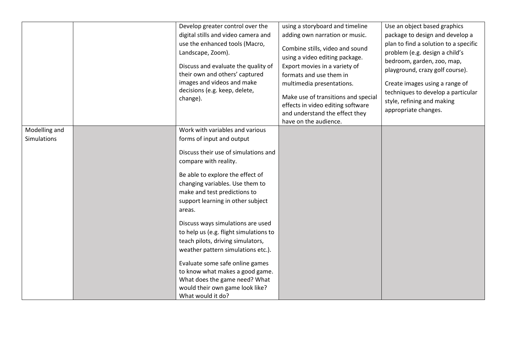|                                     | Develop greater control over the<br>digital stills and video camera and<br>use the enhanced tools (Macro,<br>Landscape, Zoom).<br>Discuss and evaluate the quality of<br>their own and others' captured<br>images and videos and make<br>decisions (e.g. keep, delete,<br>change).                                                                                                                                                                                                                                                                                                                           | using a storyboard and timeline<br>adding own narration or music.<br>Combine stills, video and sound<br>using a video editing package.<br>Export movies in a variety of<br>formats and use them in<br>multimedia presentations.<br>Make use of transitions and special<br>effects in video editing software<br>and understand the effect they<br>have on the audience. | Use an object based graphics<br>package to design and develop a<br>plan to find a solution to a specific<br>problem (e.g. design a child's<br>bedroom, garden, zoo, map,<br>playground, crazy golf course).<br>Create images using a range of<br>techniques to develop a particular<br>style, refining and making<br>appropriate changes. |
|-------------------------------------|--------------------------------------------------------------------------------------------------------------------------------------------------------------------------------------------------------------------------------------------------------------------------------------------------------------------------------------------------------------------------------------------------------------------------------------------------------------------------------------------------------------------------------------------------------------------------------------------------------------|------------------------------------------------------------------------------------------------------------------------------------------------------------------------------------------------------------------------------------------------------------------------------------------------------------------------------------------------------------------------|-------------------------------------------------------------------------------------------------------------------------------------------------------------------------------------------------------------------------------------------------------------------------------------------------------------------------------------------|
| Modelling and<br><b>Simulations</b> | Work with variables and various<br>forms of input and output<br>Discuss their use of simulations and<br>compare with reality.<br>Be able to explore the effect of<br>changing variables. Use them to<br>make and test predictions to<br>support learning in other subject<br>areas.<br>Discuss ways simulations are used<br>to help us (e.g. flight simulations to<br>teach pilots, driving simulators,<br>weather pattern simulations etc.).<br>Evaluate some safe online games<br>to know what makes a good game.<br>What does the game need? What<br>would their own game look like?<br>What would it do? |                                                                                                                                                                                                                                                                                                                                                                        |                                                                                                                                                                                                                                                                                                                                           |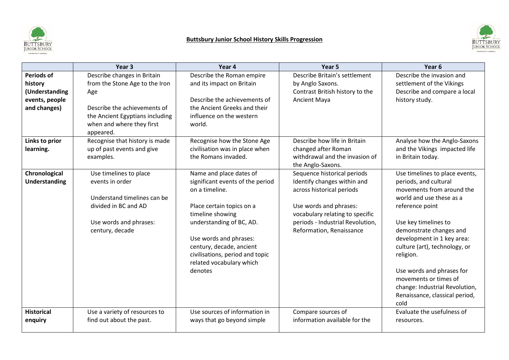

# **Buttsbury Junior School History Skills Progression**



|                                                                                  | Year <sub>3</sub>                                                                                                                                                                 | Year 4                                                                                                                                                                                                                                                                                     | Year 5                                                                                                                                                                                                               | Year <sub>6</sub>                                                                                                                                                                                                                                                                                                                                                                                    |
|----------------------------------------------------------------------------------|-----------------------------------------------------------------------------------------------------------------------------------------------------------------------------------|--------------------------------------------------------------------------------------------------------------------------------------------------------------------------------------------------------------------------------------------------------------------------------------------|----------------------------------------------------------------------------------------------------------------------------------------------------------------------------------------------------------------------|------------------------------------------------------------------------------------------------------------------------------------------------------------------------------------------------------------------------------------------------------------------------------------------------------------------------------------------------------------------------------------------------------|
| <b>Periods of</b><br>history<br>(Understanding<br>events, people<br>and changes) | Describe changes in Britain<br>from the Stone Age to the Iron<br>Age<br>Describe the achievements of<br>the Ancient Egyptians including<br>when and where they first<br>appeared. | Describe the Roman empire<br>and its impact on Britain<br>Describe the achievements of<br>the Ancient Greeks and their<br>influence on the western<br>world.                                                                                                                               | Describe Britain's settlement<br>by Anglo Saxons.<br>Contrast British history to the<br>Ancient Maya                                                                                                                 | Describe the invasion and<br>settlement of the Vikings<br>Describe and compare a local<br>history study.                                                                                                                                                                                                                                                                                             |
| Links to prior<br>learning.                                                      | Recognise that history is made<br>up of past events and give<br>examples.                                                                                                         | Recognise how the Stone Age<br>civilisation was in place when<br>the Romans invaded.                                                                                                                                                                                                       | Describe how life in Britain<br>changed after Roman<br>withdrawal and the invasion of<br>the Anglo-Saxons.                                                                                                           | Analyse how the Anglo-Saxons<br>and the Vikings impacted life<br>in Britain today.                                                                                                                                                                                                                                                                                                                   |
| Chronological<br>Understanding                                                   | Use timelines to place<br>events in order<br>Understand timelines can be<br>divided in BC and AD<br>Use words and phrases:<br>century, decade                                     | Name and place dates of<br>significant events of the period<br>on a timeline.<br>Place certain topics on a<br>timeline showing<br>understanding of BC, AD.<br>Use words and phrases:<br>century, decade, ancient<br>civilisations, period and topic<br>related vocabulary which<br>denotes | Sequence historical periods<br>Identify changes within and<br>across historical periods<br>Use words and phrases:<br>vocabulary relating to specific<br>periods - Industrial Revolution,<br>Reformation, Renaissance | Use timelines to place events,<br>periods, and cultural<br>movements from around the<br>world and use these as a<br>reference point<br>Use key timelines to<br>demonstrate changes and<br>development in 1 key area:<br>culture (art), technology, or<br>religion.<br>Use words and phrases for<br>movements or times of<br>change: Industrial Revolution,<br>Renaissance, classical period,<br>cold |
| <b>Historical</b><br>enquiry                                                     | Use a variety of resources to<br>find out about the past.                                                                                                                         | Use sources of information in<br>ways that go beyond simple                                                                                                                                                                                                                                | Compare sources of<br>information available for the                                                                                                                                                                  | Evaluate the usefulness of<br>resources.                                                                                                                                                                                                                                                                                                                                                             |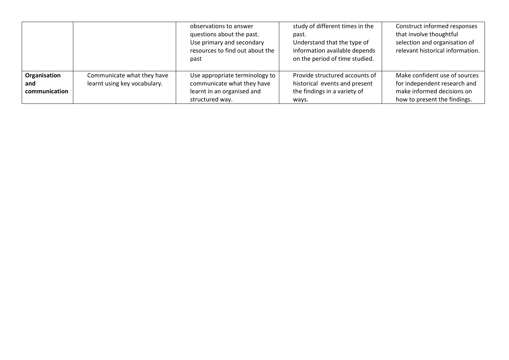|                                      |                                                            | observations to answer<br>questions about the past.<br>Use primary and secondary<br>resources to find out about the<br>past | study of different times in the<br>past.<br>Understand that the type of<br>information available depends<br>on the period of time studied. | Construct informed responses<br>that involve thoughtful<br>selection and organisation of<br>relevant historical information. |
|--------------------------------------|------------------------------------------------------------|-----------------------------------------------------------------------------------------------------------------------------|--------------------------------------------------------------------------------------------------------------------------------------------|------------------------------------------------------------------------------------------------------------------------------|
| Organisation<br>and<br>communication | Communicate what they have<br>learnt using key vocabulary. | Use appropriate terminology to<br>communicate what they have<br>learnt in an organised and<br>structured way.               | Provide structured accounts of<br>historical events and present<br>the findings in a variety of<br>ways.                                   | Make confident use of sources<br>for independent research and<br>make informed decisions on<br>how to present the findings.  |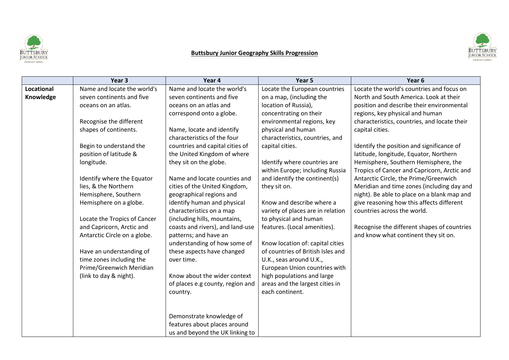

#### **Buttsbury Junior Geography Skills Progression**



|                   | Year <sub>3</sub>            | Year 4                           | Year 5                            | Year 6                                       |
|-------------------|------------------------------|----------------------------------|-----------------------------------|----------------------------------------------|
| <b>Locational</b> | Name and locate the world's  | Name and locate the world's      | Locate the European countries     | Locate the world's countries and focus on    |
| Knowledge         | seven continents and five    | seven continents and five        | on a map, (including the          | North and South America. Look at their       |
|                   | oceans on an atlas.          | oceans on an atlas and           | location of Russia),              | position and describe their environmental    |
|                   |                              | correspond onto a globe.         | concentrating on their            | regions, key physical and human              |
|                   | Recognise the different      |                                  | environmental regions, key        | characteristics, countries, and locate their |
|                   | shapes of continents.        | Name, locate and identify        | physical and human                | capital cities.                              |
|                   |                              | characteristics of the four      | characteristics, countries, and   |                                              |
|                   | Begin to understand the      | countries and capital cities of  | capital cities.                   | Identify the position and significance of    |
|                   | position of latitude &       | the United Kingdom of where      |                                   | latitude, longitude, Equator, Northern       |
|                   | longitude.                   | they sit on the globe.           | Identify where countries are      | Hemisphere, Southern Hemisphere, the         |
|                   |                              |                                  | within Europe; including Russia   | Tropics of Cancer and Capricorn, Arctic and  |
|                   | Identify where the Equator   | Name and locate counties and     | and identify the continent(s)     | Antarctic Circle, the Prime/Greenwich        |
|                   | lies, & the Northern         | cities of the United Kingdom,    | they sit on.                      | Meridian and time zones (including day and   |
|                   | Hemisphere, Southern         | geographical regions and         |                                   | night). Be able to place on a blank map and  |
|                   | Hemisphere on a globe.       | identify human and physical      | Know and describe where a         | give reasoning how this affects different    |
|                   |                              | characteristics on a map         | variety of places are in relation | countries across the world.                  |
|                   | Locate the Tropics of Cancer | (including hills, mountains,     | to physical and human             |                                              |
|                   | and Capricorn, Arctic and    | coasts and rivers), and land-use | features. (Local amenities).      | Recognise the different shapes of countries  |
|                   | Antarctic Circle on a globe. | patterns; and have an            |                                   | and know what continent they sit on.         |
|                   |                              | understanding of how some of     | Know location of: capital cities  |                                              |
|                   | Have an understanding of     | these aspects have changed       | of countries of British Isles and |                                              |
|                   | time zones including the     | over time.                       | U.K., seas around U.K.,           |                                              |
|                   | Prime/Greenwich Meridian     |                                  | European Union countries with     |                                              |
|                   | (link to day & night).       | Know about the wider context     | high populations and large        |                                              |
|                   |                              | of places e.g county, region and | areas and the largest cities in   |                                              |
|                   |                              | country.                         | each continent.                   |                                              |
|                   |                              |                                  |                                   |                                              |
|                   |                              |                                  |                                   |                                              |
|                   |                              | Demonstrate knowledge of         |                                   |                                              |
|                   |                              | features about places around     |                                   |                                              |
|                   |                              | us and beyond the UK linking to  |                                   |                                              |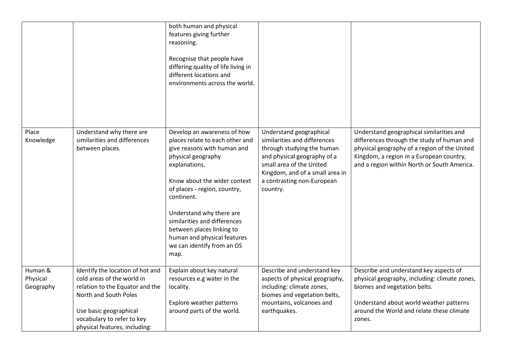|                                  |                                                                                                                                                                                                                     | both human and physical<br>features giving further<br>reasoning.<br>Recognise that people have<br>differing quality of life living in<br>different locations and<br>environments across the world.                                                                                                                                                                               |                                                                                                                                                                                                                               |                                                                                                                                                                                                                                   |
|----------------------------------|---------------------------------------------------------------------------------------------------------------------------------------------------------------------------------------------------------------------|----------------------------------------------------------------------------------------------------------------------------------------------------------------------------------------------------------------------------------------------------------------------------------------------------------------------------------------------------------------------------------|-------------------------------------------------------------------------------------------------------------------------------------------------------------------------------------------------------------------------------|-----------------------------------------------------------------------------------------------------------------------------------------------------------------------------------------------------------------------------------|
| Place<br>Knowledge               | Understand why there are<br>similarities and differences<br>between places.                                                                                                                                         | Develop an awareness of how<br>places relate to each other and<br>give reasons with human and<br>physical geography<br>explanations.<br>Know about the wider context<br>of places - region, country,<br>continent.<br>Understand why there are<br>similarities and differences<br>between places linking to<br>human and physical features<br>we can identify from an OS<br>map. | Understand geographical<br>similarities and differences<br>through studying the human<br>and physical geography of a<br>small area of the United<br>Kingdom, and of a small area in<br>a contrasting non-European<br>country. | Understand geographical similarities and<br>differences through the study of human and<br>physical geography of a region of the United<br>Kingdom, a region in a European country,<br>and a region within North or South America. |
| Human &<br>Physical<br>Geography | Identify the location of hot and<br>cold areas of the world in<br>relation to the Equator and the<br>North and South Poles<br>Use basic geographical<br>vocabulary to refer to key<br>physical features, including: | Explain about key natural<br>resources e.g water in the<br>locality.<br>Explore weather patterns<br>around parts of the world.                                                                                                                                                                                                                                                   | Describe and understand key<br>aspects of physical geography,<br>including: climate zones,<br>biomes and vegetation belts,<br>mountains, volcanoes and<br>earthquakes.                                                        | Describe and understand key aspects of<br>physical geography, including: climate zones,<br>biomes and vegetation belts.<br>Understand about world weather patterns<br>around the World and relate these climate<br>zones.         |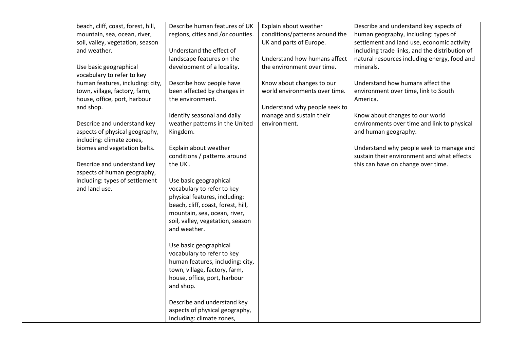| beach, cliff, coast, forest, hill, | Describe human features of UK      | Explain about weather          | Describe and understand key aspects of         |
|------------------------------------|------------------------------------|--------------------------------|------------------------------------------------|
| mountain, sea, ocean, river,       | regions, cities and /or counties.  | conditions/patterns around the | human geography, including: types of           |
| soil, valley, vegetation, season   |                                    | UK and parts of Europe.        | settlement and land use, economic activity     |
| and weather.                       | Understand the effect of           |                                | including trade links, and the distribution of |
|                                    | landscape features on the          | Understand how humans affect   | natural resources including energy, food and   |
| Use basic geographical             | development of a locality.         | the environment over time.     | minerals.                                      |
| vocabulary to refer to key         |                                    |                                |                                                |
| human features, including: city,   | Describe how people have           | Know about changes to our      | Understand how humans affect the               |
| town, village, factory, farm,      | been affected by changes in        | world environments over time.  | environment over time, link to South           |
| house, office, port, harbour       | the environment.                   |                                | America.                                       |
| and shop.                          |                                    | Understand why people seek to  |                                                |
|                                    | Identify seasonal and daily        | manage and sustain their       | Know about changes to our world                |
| Describe and understand key        | weather patterns in the United     | environment.                   | environments over time and link to physical    |
| aspects of physical geography,     | Kingdom.                           |                                | and human geography.                           |
| including: climate zones,          |                                    |                                |                                                |
| biomes and vegetation belts.       | Explain about weather              |                                | Understand why people seek to manage and       |
|                                    | conditions / patterns around       |                                | sustain their environment and what effects     |
| Describe and understand key        | the UK.                            |                                | this can have on change over time.             |
| aspects of human geography,        |                                    |                                |                                                |
| including: types of settlement     | Use basic geographical             |                                |                                                |
| and land use.                      | vocabulary to refer to key         |                                |                                                |
|                                    | physical features, including:      |                                |                                                |
|                                    | beach, cliff, coast, forest, hill, |                                |                                                |
|                                    | mountain, sea, ocean, river,       |                                |                                                |
|                                    | soil, valley, vegetation, season   |                                |                                                |
|                                    | and weather.                       |                                |                                                |
|                                    |                                    |                                |                                                |
|                                    | Use basic geographical             |                                |                                                |
|                                    | vocabulary to refer to key         |                                |                                                |
|                                    | human features, including: city,   |                                |                                                |
|                                    | town, village, factory, farm,      |                                |                                                |
|                                    | house, office, port, harbour       |                                |                                                |
|                                    | and shop.                          |                                |                                                |
|                                    |                                    |                                |                                                |
|                                    | Describe and understand key        |                                |                                                |
|                                    | aspects of physical geography,     |                                |                                                |
|                                    | including: climate zones,          |                                |                                                |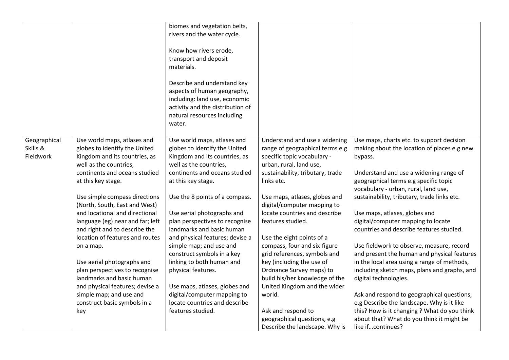|                                       |                                                                                                                                                                                                                                                                                                                                                                                                                                                                                                                                                                                                           | biomes and vegetation belts,<br>rivers and the water cycle.<br>Know how rivers erode,<br>transport and deposit<br>materials.<br>Describe and understand key<br>aspects of human geography,<br>including: land use, economic<br>activity and the distribution of<br>natural resources including<br>water.                                                                                                                                                                                                                                                                           |                                                                                                                                                                                                                                                                                                                                                                                                                                                                                                                                                                                                                             |                                                                                                                                                                                                                                                                                                                                                                                                                                                                                                                                                                                                                                                                                                                                                                                                                                    |
|---------------------------------------|-----------------------------------------------------------------------------------------------------------------------------------------------------------------------------------------------------------------------------------------------------------------------------------------------------------------------------------------------------------------------------------------------------------------------------------------------------------------------------------------------------------------------------------------------------------------------------------------------------------|------------------------------------------------------------------------------------------------------------------------------------------------------------------------------------------------------------------------------------------------------------------------------------------------------------------------------------------------------------------------------------------------------------------------------------------------------------------------------------------------------------------------------------------------------------------------------------|-----------------------------------------------------------------------------------------------------------------------------------------------------------------------------------------------------------------------------------------------------------------------------------------------------------------------------------------------------------------------------------------------------------------------------------------------------------------------------------------------------------------------------------------------------------------------------------------------------------------------------|------------------------------------------------------------------------------------------------------------------------------------------------------------------------------------------------------------------------------------------------------------------------------------------------------------------------------------------------------------------------------------------------------------------------------------------------------------------------------------------------------------------------------------------------------------------------------------------------------------------------------------------------------------------------------------------------------------------------------------------------------------------------------------------------------------------------------------|
| Geographical<br>Skills &<br>Fieldwork | Use world maps, atlases and<br>globes to identify the United<br>Kingdom and its countries, as<br>well as the countries,<br>continents and oceans studied<br>at this key stage.<br>Use simple compass directions<br>(North, South, East and West)<br>and locational and directional<br>language (eg) near and far; left<br>and right and to describe the<br>location of features and routes<br>on a map.<br>Use aerial photographs and<br>plan perspectives to recognise<br>landmarks and basic human<br>and physical features; devise a<br>simple map; and use and<br>construct basic symbols in a<br>key | Use world maps, atlases and<br>globes to identify the United<br>Kingdom and its countries, as<br>well as the countries,<br>continents and oceans studied<br>at this key stage.<br>Use the 8 points of a compass.<br>Use aerial photographs and<br>plan perspectives to recognise<br>landmarks and basic human<br>and physical features; devise a<br>simple map; and use and<br>construct symbols in a key<br>linking to both human and<br>physical features.<br>Use maps, atlases, globes and<br>digital/computer mapping to<br>locate countries and describe<br>features studied. | Understand and use a widening<br>range of geographical terms e.g<br>specific topic vocabulary -<br>urban, rural, land use,<br>sustainability, tributary, trade<br>links etc.<br>Use maps, atlases, globes and<br>digital/computer mapping to<br>locate countries and describe<br>features studied.<br>Use the eight points of a<br>compass, four and six-figure<br>grid references, symbols and<br>key (including the use of<br>Ordnance Survey maps) to<br>build his/her knowledge of the<br>United Kingdom and the wider<br>world.<br>Ask and respond to<br>geographical questions, e.g<br>Describe the landscape. Why is | Use maps, charts etc. to support decision<br>making about the location of places e.g new<br>bypass.<br>Understand and use a widening range of<br>geographical terms e.g specific topic<br>vocabulary - urban, rural, land use,<br>sustainability, tributary, trade links etc.<br>Use maps, atlases, globes and<br>digital/computer mapping to locate<br>countries and describe features studied.<br>Use fieldwork to observe, measure, record<br>and present the human and physical features<br>in the local area using a range of methods,<br>including sketch maps, plans and graphs, and<br>digital technologies.<br>Ask and respond to geographical questions,<br>e.g Describe the landscape. Why is it like<br>this? How is it changing ? What do you think<br>about that? What do you think it might be<br>like ifcontinues? |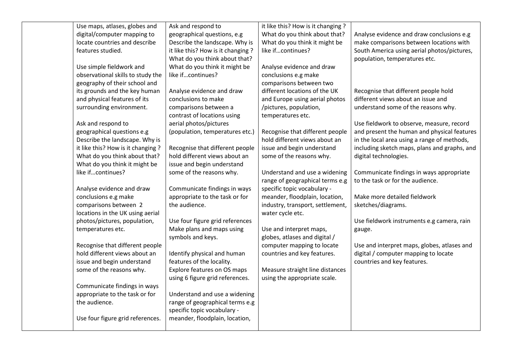| Use maps, atlases, globes and      | Ask and respond to                 | it like this? How is it changing ? |                                              |
|------------------------------------|------------------------------------|------------------------------------|----------------------------------------------|
| digital/computer mapping to        | geographical questions, e.g        | What do you think about that?      | Analyse evidence and draw conclusions e.g    |
| locate countries and describe      | Describe the landscape. Why is     | What do you think it might be      | make comparisons between locations with      |
| features studied.                  | it like this? How is it changing ? | like ifcontinues?                  | South America using aerial photos/pictures,  |
|                                    | What do you think about that?      |                                    | population, temperatures etc.                |
| Use simple fieldwork and           | What do you think it might be      | Analyse evidence and draw          |                                              |
| observational skills to study the  | like ifcontinues?                  | conclusions e.g make               |                                              |
| geography of their school and      |                                    | comparisons between two            |                                              |
| its grounds and the key human      | Analyse evidence and draw          | different locations of the UK      | Recognise that different people hold         |
| and physical features of its       | conclusions to make                | and Europe using aerial photos     | different views about an issue and           |
| surrounding environment.           | comparisons between a              | /pictures, population,             | understand some of the reasons why.          |
|                                    | contrast of locations using        | temperatures etc.                  |                                              |
| Ask and respond to                 | aerial photos/pictures             |                                    | Use fieldwork to observe, measure, record    |
| geographical questions e.g         | (population, temperatures etc.)    | Recognise that different people    | and present the human and physical features  |
| Describe the landscape. Why is     |                                    | hold different views about an      | in the local area using a range of methods,  |
| it like this? How is it changing ? | Recognise that different people    | issue and begin understand         | including sketch maps, plans and graphs, and |
| What do you think about that?      | hold different views about an      | some of the reasons why.           | digital technologies.                        |
| What do you think it might be      | issue and begin understand         |                                    |                                              |
| like ifcontinues?                  | some of the reasons why.           | Understand and use a widening      | Communicate findings in ways appropriate     |
|                                    |                                    | range of geographical terms e.g    | to the task or for the audience.             |
| Analyse evidence and draw          | Communicate findings in ways       | specific topic vocabulary -        |                                              |
| conclusions e.g make               | appropriate to the task or for     | meander, floodplain, location,     | Make more detailed fieldwork                 |
| comparisons between 2              | the audience.                      | industry, transport, settlement,   | sketches/diagrams.                           |
| locations in the UK using aerial   |                                    | water cycle etc.                   |                                              |
| photos/pictures, population,       | Use four figure grid references    |                                    | Use fieldwork instruments e.g camera, rain   |
| temperatures etc.                  | Make plans and maps using          | Use and interpret maps,            | gauge.                                       |
|                                    | symbols and keys.                  | globes, atlases and digital /      |                                              |
| Recognise that different people    |                                    | computer mapping to locate         | Use and interpret maps, globes, atlases and  |
| hold different views about an      | Identify physical and human        | countries and key features.        | digital / computer mapping to locate         |
| issue and begin understand         | features of the locality.          |                                    | countries and key features.                  |
| some of the reasons why.           | Explore features on OS maps        | Measure straight line distances    |                                              |
|                                    | using 6 figure grid references.    | using the appropriate scale.       |                                              |
| Communicate findings in ways       |                                    |                                    |                                              |
| appropriate to the task or for     | Understand and use a widening      |                                    |                                              |
| the audience.                      | range of geographical terms e.g    |                                    |                                              |
|                                    | specific topic vocabulary -        |                                    |                                              |
| Use four figure grid references.   | meander, floodplain, location,     |                                    |                                              |
|                                    |                                    |                                    |                                              |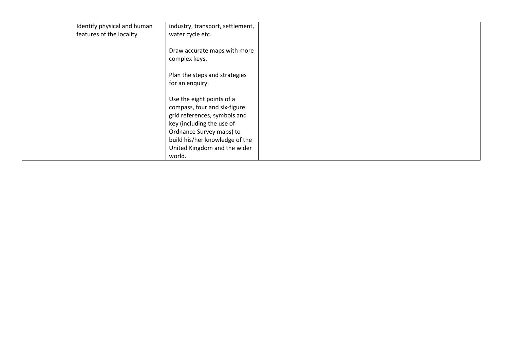| Identify physical and human | industry, transport, settlement, |  |
|-----------------------------|----------------------------------|--|
| features of the locality    | water cycle etc.                 |  |
|                             |                                  |  |
|                             | Draw accurate maps with more     |  |
|                             | complex keys.                    |  |
|                             | Plan the steps and strategies    |  |
|                             |                                  |  |
|                             | for an enquiry.                  |  |
|                             | Use the eight points of a        |  |
|                             | compass, four and six-figure     |  |
|                             | grid references, symbols and     |  |
|                             | key (including the use of        |  |
|                             | Ordnance Survey maps) to         |  |
|                             | build his/her knowledge of the   |  |
|                             | United Kingdom and the wider     |  |
|                             | world.                           |  |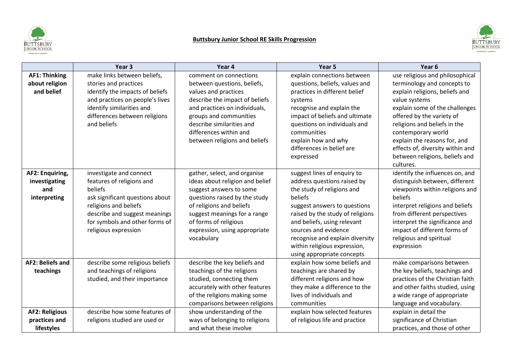

# **Buttsbury Junior School RE Skills Progression**



|                                                         | Year <sub>3</sub>                                                                                                                                                                                                      | Year 4                                                                                                                                                                                                                                                          | Year 5                                                                                                                                                                                                                                                                                                                          | Year <sub>6</sub>                                                                                                                                                                                                                                                                                         |
|---------------------------------------------------------|------------------------------------------------------------------------------------------------------------------------------------------------------------------------------------------------------------------------|-----------------------------------------------------------------------------------------------------------------------------------------------------------------------------------------------------------------------------------------------------------------|---------------------------------------------------------------------------------------------------------------------------------------------------------------------------------------------------------------------------------------------------------------------------------------------------------------------------------|-----------------------------------------------------------------------------------------------------------------------------------------------------------------------------------------------------------------------------------------------------------------------------------------------------------|
| <b>AF1: Thinking</b>                                    | make links between beliefs,                                                                                                                                                                                            | comment on connections                                                                                                                                                                                                                                          | explain connections between                                                                                                                                                                                                                                                                                                     | use religious and philosophical                                                                                                                                                                                                                                                                           |
| about religion<br>and belief                            | stories and practices<br>identify the impacts of beliefs<br>and practices on people's lives<br>identify similarities and<br>differences between religions<br>and beliefs                                               | between questions, beliefs,<br>values and practices<br>describe the impact of beliefs<br>and practices on individuals,<br>groups and communities<br>describe similarities and<br>differences within and<br>between religions and beliefs                        | questions, beliefs, values and<br>practices in different belief<br>systems<br>recognise and explain the<br>impact of beliefs and ultimate<br>questions on individuals and<br>communities<br>explain how and why<br>differences in belief are<br>expressed                                                                       | terminology and concepts to<br>explain religions, beliefs and<br>value systems<br>explain some of the challenges<br>offered by the variety of<br>religions and beliefs in the<br>contemporary world<br>explain the reasons for, and<br>effects of, diversity within and<br>between religions, beliefs and |
| AF2: Enquiring,<br>investigating<br>and<br>interpreting | investigate and connect<br>features of religions and<br>beliefs<br>ask significant questions about<br>religions and beliefs<br>describe and suggest meanings<br>for symbols and other forms of<br>religious expression | gather, select, and organise<br>ideas about religion and belief<br>suggest answers to some<br>questions raised by the study<br>of religions and beliefs<br>suggest meanings for a range<br>of forms of religious<br>expression, using appropriate<br>vocabulary | suggest lines of enquiry to<br>address questions raised by<br>the study of religions and<br>beliefs<br>suggest answers to questions<br>raised by the study of religions<br>and beliefs, using relevant<br>sources and evidence<br>recognise and explain diversity<br>within religious expression,<br>using appropriate concepts | cultures.<br>identify the influences on, and<br>distinguish between, different<br>viewpoints within religions and<br>beliefs<br>interpret religions and beliefs<br>from different perspectives<br>interpret the significance and<br>impact of different forms of<br>religious and spiritual<br>expression |
| <b>AF2: Beliefs and</b><br>teachings                    | describe some religious beliefs<br>and teachings of religions<br>studied, and their importance                                                                                                                         | describe the key beliefs and<br>teachings of the religions<br>studied, connecting them<br>accurately with other features<br>of the religions making some<br>comparisons between religions                                                                       | explain how some beliefs and<br>teachings are shared by<br>different religions and how<br>they make a difference to the<br>lives of individuals and<br>communities                                                                                                                                                              | make comparisons between<br>the key beliefs, teachings and<br>practices of the Christian faith<br>and other faiths studied, using<br>a wide range of appropriate<br>language and vocabulary.                                                                                                              |
| <b>AF2: Religious</b><br>practices and<br>lifestyles    | describe how some features of<br>religions studied are used or                                                                                                                                                         | show understanding of the<br>ways of belonging to religions<br>and what these involve                                                                                                                                                                           | explain how selected features<br>of religious life and practice                                                                                                                                                                                                                                                                 | explain in detail the<br>significance of Christian<br>practices, and those of other                                                                                                                                                                                                                       |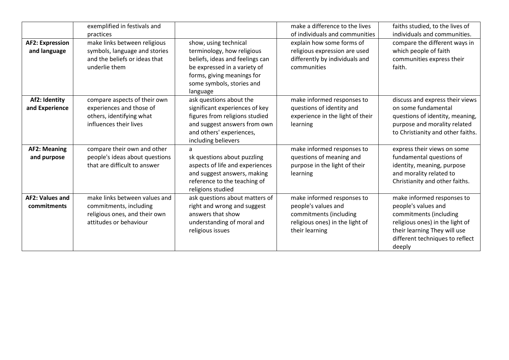|                                        | exemplified in festivals and<br>practices                                                                          |                                                                                                                                                                                               | make a difference to the lives<br>of individuals and communities                                                                 | faiths studied, to the lives of<br>individuals and communities.                                                                                                                             |
|----------------------------------------|--------------------------------------------------------------------------------------------------------------------|-----------------------------------------------------------------------------------------------------------------------------------------------------------------------------------------------|----------------------------------------------------------------------------------------------------------------------------------|---------------------------------------------------------------------------------------------------------------------------------------------------------------------------------------------|
| <b>AF2: Expression</b><br>and language | make links between religious<br>symbols, language and stories<br>and the beliefs or ideas that<br>underlie them    | show, using technical<br>terminology, how religious<br>beliefs, ideas and feelings can<br>be expressed in a variety of<br>forms, giving meanings for<br>some symbols, stories and<br>language | explain how some forms of<br>religious expression are used<br>differently by individuals and<br>communities                      | compare the different ways in<br>which people of faith<br>communities express their<br>faith.                                                                                               |
| Af2: Identity<br>and Experience        | compare aspects of their own<br>experiences and those of<br>others, identifying what<br>influences their lives     | ask questions about the<br>significant experiences of key<br>figures from religions studied<br>and suggest answers from own<br>and others' experiences,<br>including believers                | make informed responses to<br>questions of identity and<br>experience in the light of their<br>learning                          | discuss and express their views<br>on some fundamental<br>questions of identity, meaning,<br>purpose and morality related<br>to Christianity and other faiths.                              |
| <b>AF2: Meaning</b><br>and purpose     | compare their own and other<br>people's ideas about questions<br>that are difficult to answer                      | a<br>sk questions about puzzling<br>aspects of life and experiences<br>and suggest answers, making<br>reference to the teaching of<br>religions studied                                       | make informed responses to<br>questions of meaning and<br>purpose in the light of their<br>learning                              | express their views on some<br>fundamental questions of<br>identity, meaning, purpose<br>and morality related to<br>Christianity and other faiths.                                          |
| <b>AF2: Values and</b><br>commitments  | make links between values and<br>commitments, including<br>religious ones, and their own<br>attitudes or behaviour | ask questions about matters of<br>right and wrong and suggest<br>answers that show<br>understanding of moral and<br>religious issues                                                          | make informed responses to<br>people's values and<br>commitments (including<br>religious ones) in the light of<br>their learning | make informed responses to<br>people's values and<br>commitments (including<br>religious ones) in the light of<br>their learning They will use<br>different techniques to reflect<br>deeply |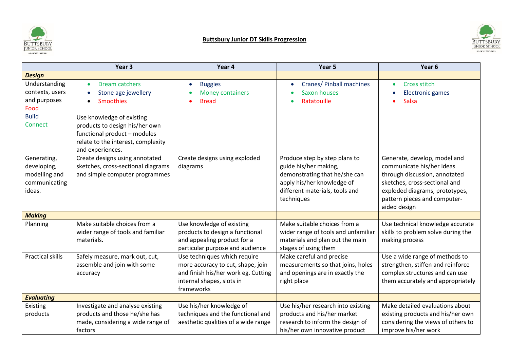



|                                                                                     | Year <sub>3</sub>                                                                                                                                                                                                                                         | Year 4                                                                                                                                              | Year 5                                                                                                                                                                | Year 6                                                                                                                                                                                                        |
|-------------------------------------------------------------------------------------|-----------------------------------------------------------------------------------------------------------------------------------------------------------------------------------------------------------------------------------------------------------|-----------------------------------------------------------------------------------------------------------------------------------------------------|-----------------------------------------------------------------------------------------------------------------------------------------------------------------------|---------------------------------------------------------------------------------------------------------------------------------------------------------------------------------------------------------------|
| <b>Design</b>                                                                       |                                                                                                                                                                                                                                                           |                                                                                                                                                     |                                                                                                                                                                       |                                                                                                                                                                                                               |
| Understanding<br>contexts, users<br>and purposes<br>Food<br><b>Build</b><br>Connect | Dream catchers<br>$\bullet$<br>Stone age jewellery<br>$\bullet$<br><b>Smoothies</b><br>$\bullet$<br>Use knowledge of existing<br>products to design his/her own<br>functional product - modules<br>relate to the interest, complexity<br>and experiences. | <b>Buggies</b><br>$\bullet$<br><b>Money containers</b><br><b>Bread</b>                                                                              | Cranes/ Pinball machines<br><b>Saxon houses</b><br>Ratatouille                                                                                                        | Cross stitch<br>$\bullet$<br><b>Electronic games</b><br>Salsa                                                                                                                                                 |
| Generating,<br>developing,<br>modelling and<br>communicating<br>ideas.              | Create designs using annotated<br>sketches, cross-sectional diagrams<br>and simple computer programmes                                                                                                                                                    | Create designs using exploded<br>diagrams                                                                                                           | Produce step by step plans to<br>guide his/her making,<br>demonstrating that he/she can<br>apply his/her knowledge of<br>different materials, tools and<br>techniques | Generate, develop, model and<br>communicate his/her ideas<br>through discussion, annotated<br>sketches, cross-sectional and<br>exploded diagrams, prototypes,<br>pattern pieces and computer-<br>aided design |
| <b>Making</b>                                                                       |                                                                                                                                                                                                                                                           |                                                                                                                                                     |                                                                                                                                                                       |                                                                                                                                                                                                               |
| Planning                                                                            | Make suitable choices from a<br>wider range of tools and familiar<br>materials.                                                                                                                                                                           | Use knowledge of existing<br>products to design a functional<br>and appealing product for a<br>particular purpose and audience                      | Make suitable choices from a<br>wider range of tools and unfamiliar<br>materials and plan out the main<br>stages of using them                                        | Use technical knowledge accurate<br>skills to problem solve during the<br>making process                                                                                                                      |
| <b>Practical skills</b>                                                             | Safely measure, mark out, cut,<br>assemble and join with some<br>accuracy                                                                                                                                                                                 | Use techniques which require<br>more accuracy to cut, shape, join<br>and finish his/her work eg. Cutting<br>internal shapes, slots in<br>frameworks | Make careful and precise<br>measurements so that joins, holes<br>and openings are in exactly the<br>right place                                                       | Use a wide range of methods to<br>strengthen, stiffen and reinforce<br>complex structures and can use<br>them accurately and appropriately                                                                    |
| <b>Evaluating</b>                                                                   |                                                                                                                                                                                                                                                           |                                                                                                                                                     |                                                                                                                                                                       |                                                                                                                                                                                                               |
| Existing<br>products                                                                | Investigate and analyse existing<br>products and those he/she has<br>made, considering a wide range of<br>factors                                                                                                                                         | Use his/her knowledge of<br>techniques and the functional and<br>aesthetic qualities of a wide range                                                | Use his/her research into existing<br>products and his/her market<br>research to inform the design of<br>his/her own innovative product                               | Make detailed evaluations about<br>existing products and his/her own<br>considering the views of others to<br>improve his/her work                                                                            |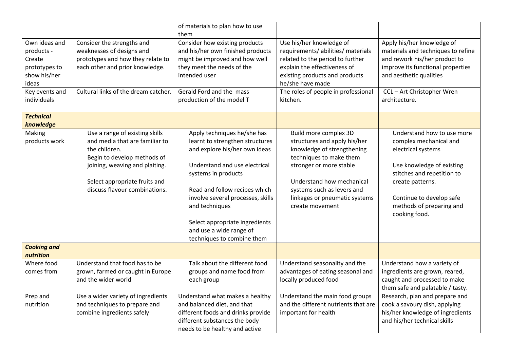|                                                                                 |                                                                                                                                                                                                                      | of materials to plan how to use<br>them                                                                                                                                                                                                                                                                                                    |                                                                                                                                                                                                                                                          |                                                                                                                                                                                                                                    |
|---------------------------------------------------------------------------------|----------------------------------------------------------------------------------------------------------------------------------------------------------------------------------------------------------------------|--------------------------------------------------------------------------------------------------------------------------------------------------------------------------------------------------------------------------------------------------------------------------------------------------------------------------------------------|----------------------------------------------------------------------------------------------------------------------------------------------------------------------------------------------------------------------------------------------------------|------------------------------------------------------------------------------------------------------------------------------------------------------------------------------------------------------------------------------------|
| Own ideas and<br>products -<br>Create<br>prototypes to<br>show his/her<br>ideas | Consider the strengths and<br>weaknesses of designs and<br>prototypes and how they relate to<br>each other and prior knowledge.                                                                                      | Consider how existing products<br>and his/her own finished products<br>might be improved and how well<br>they meet the needs of the<br>intended user                                                                                                                                                                                       | Use his/her knowledge of<br>requirements/ abilities/ materials<br>related to the period to further<br>explain the effectiveness of<br>existing products and products<br>he/she have made                                                                 | Apply his/her knowledge of<br>materials and techniques to refine<br>and rework his/her product to<br>improve its functional properties<br>and aesthetic qualities                                                                  |
| Key events and<br>individuals                                                   | Cultural links of the dream catcher.                                                                                                                                                                                 | Gerald Ford and the mass<br>production of the model T                                                                                                                                                                                                                                                                                      | The roles of people in professional<br>kitchen.                                                                                                                                                                                                          | CCL-Art Christopher Wren<br>architecture.                                                                                                                                                                                          |
| <b>Technical</b><br>knowledge                                                   |                                                                                                                                                                                                                      |                                                                                                                                                                                                                                                                                                                                            |                                                                                                                                                                                                                                                          |                                                                                                                                                                                                                                    |
| Making<br>products work                                                         | Use a range of existing skills<br>and media that are familiar to<br>the children.<br>Begin to develop methods of<br>joining, weaving and plaiting.<br>Select appropriate fruits and<br>discuss flavour combinations. | Apply techniques he/she has<br>learnt to strengthen structures<br>and explore his/her own ideas<br>Understand and use electrical<br>systems in products<br>Read and follow recipes which<br>involve several processes, skills<br>and techniques<br>Select appropriate ingredients<br>and use a wide range of<br>techniques to combine them | Build more complex 3D<br>structures and apply his/her<br>knowledge of strengthening<br>techniques to make them<br>stronger or more stable<br>Understand how mechanical<br>systems such as levers and<br>linkages or pneumatic systems<br>create movement | Understand how to use more<br>complex mechanical and<br>electrical systems<br>Use knowledge of existing<br>stitches and repetition to<br>create patterns.<br>Continue to develop safe<br>methods of preparing and<br>cooking food. |
| <b>Cooking and</b><br>nutrition                                                 |                                                                                                                                                                                                                      |                                                                                                                                                                                                                                                                                                                                            |                                                                                                                                                                                                                                                          |                                                                                                                                                                                                                                    |
| Where food<br>comes from                                                        | Understand that food has to be<br>grown, farmed or caught in Europe<br>and the wider world                                                                                                                           | Talk about the different food<br>groups and name food from<br>each group                                                                                                                                                                                                                                                                   | Understand seasonality and the<br>advantages of eating seasonal and<br>locally produced food                                                                                                                                                             | Understand how a variety of<br>ingredients are grown, reared,<br>caught and processed to make<br>them safe and palatable / tasty.                                                                                                  |
| Prep and<br>nutrition                                                           | Use a wider variety of ingredients<br>and techniques to prepare and<br>combine ingredients safely                                                                                                                    | Understand what makes a healthy<br>and balanced diet, and that<br>different foods and drinks provide<br>different substances the body<br>needs to be healthy and active                                                                                                                                                                    | Understand the main food groups<br>and the different nutrients that are<br>important for health                                                                                                                                                          | Research, plan and prepare and<br>cook a savoury dish, applying<br>his/her knowledge of ingredients<br>and his/her technical skills                                                                                                |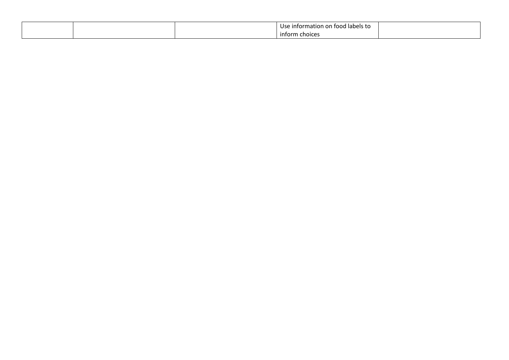|  | Use<br>e information on food labels to . |  |
|--|------------------------------------------|--|
|  | inform<br><b>choices</b>                 |  |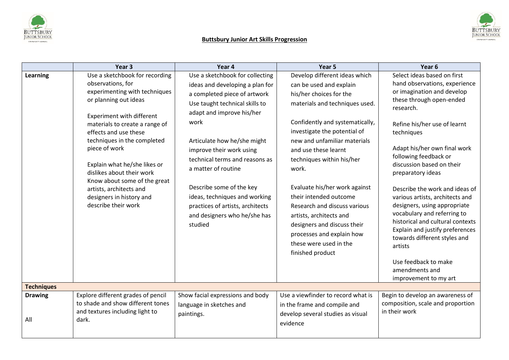

# **Buttsbury Junior Art Skills Progression**



|                       | Year <sub>3</sub>                                                                                                                                                                                                                                                                                                                                                                                                                | Year 4                                                                                                                                                                                                                                                                                                                                                                                                                                    | Year 5                                                                                                                                                                                                                                                                                                                                                                                                                                                                                                                 | Year 6                                                                                                                                                                                                                                                                                                                                                                                                                                                                                                                                                                                                                |
|-----------------------|----------------------------------------------------------------------------------------------------------------------------------------------------------------------------------------------------------------------------------------------------------------------------------------------------------------------------------------------------------------------------------------------------------------------------------|-------------------------------------------------------------------------------------------------------------------------------------------------------------------------------------------------------------------------------------------------------------------------------------------------------------------------------------------------------------------------------------------------------------------------------------------|------------------------------------------------------------------------------------------------------------------------------------------------------------------------------------------------------------------------------------------------------------------------------------------------------------------------------------------------------------------------------------------------------------------------------------------------------------------------------------------------------------------------|-----------------------------------------------------------------------------------------------------------------------------------------------------------------------------------------------------------------------------------------------------------------------------------------------------------------------------------------------------------------------------------------------------------------------------------------------------------------------------------------------------------------------------------------------------------------------------------------------------------------------|
| Learning              | Use a sketchbook for recording<br>observations, for<br>experimenting with techniques<br>or planning out ideas<br>Experiment with different<br>materials to create a range of<br>effects and use these<br>techniques in the completed<br>piece of work<br>Explain what he/she likes or<br>dislikes about their work<br>Know about some of the great<br>artists, architects and<br>designers in history and<br>describe their work | Use a sketchbook for collecting<br>ideas and developing a plan for<br>a completed piece of artwork<br>Use taught technical skills to<br>adapt and improve his/her<br>work<br>Articulate how he/she might<br>improve their work using<br>technical terms and reasons as<br>a matter of routine<br>Describe some of the key<br>ideas, techniques and working<br>practices of artists, architects<br>and designers who he/she has<br>studied | Develop different ideas which<br>can be used and explain<br>his/her choices for the<br>materials and techniques used.<br>Confidently and systematically,<br>investigate the potential of<br>new and unfamiliar materials<br>and use these learnt<br>techniques within his/her<br>work.<br>Evaluate his/her work against<br>their intended outcome<br>Research and discuss various<br>artists, architects and<br>designers and discuss their<br>processes and explain how<br>these were used in the<br>finished product | Select ideas based on first<br>hand observations, experience<br>or imagination and develop<br>these through open-ended<br>research.<br>Refine his/her use of learnt<br>techniques<br>Adapt his/her own final work<br>following feedback or<br>discussion based on their<br>preparatory ideas<br>Describe the work and ideas of<br>various artists, architects and<br>designers, using appropriate<br>vocabulary and referring to<br>historical and cultural contexts<br>Explain and justify preferences<br>towards different styles and<br>artists<br>Use feedback to make<br>amendments and<br>improvement to my art |
| <b>Techniques</b>     |                                                                                                                                                                                                                                                                                                                                                                                                                                  |                                                                                                                                                                                                                                                                                                                                                                                                                                           |                                                                                                                                                                                                                                                                                                                                                                                                                                                                                                                        |                                                                                                                                                                                                                                                                                                                                                                                                                                                                                                                                                                                                                       |
| <b>Drawing</b><br>All | Explore different grades of pencil<br>to shade and show different tones<br>and textures including light to<br>dark.                                                                                                                                                                                                                                                                                                              | Show facial expressions and body<br>language in sketches and<br>paintings.                                                                                                                                                                                                                                                                                                                                                                | Use a viewfinder to record what is<br>in the frame and compile and<br>develop several studies as visual<br>evidence                                                                                                                                                                                                                                                                                                                                                                                                    | Begin to develop an awareness of<br>composition, scale and proportion<br>in their work                                                                                                                                                                                                                                                                                                                                                                                                                                                                                                                                |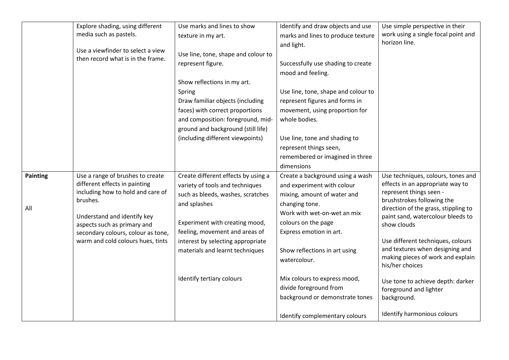|                 | Explore shading, using different                                       | Use marks and lines to show         | Identify and draw objects and use   | Use simple perspective in their                                    |
|-----------------|------------------------------------------------------------------------|-------------------------------------|-------------------------------------|--------------------------------------------------------------------|
|                 | media such as pastels.                                                 | texture in my art.                  | marks and lines to produce texture  | work using a single focal point and                                |
|                 |                                                                        |                                     | and light.                          | horizon line.                                                      |
|                 | Use a viewfinder to select a view<br>then record what is in the frame. | Use line, tone, shape and colour to |                                     |                                                                    |
|                 |                                                                        | represent figure.                   | Successfully use shading to create  |                                                                    |
|                 |                                                                        |                                     | mood and feeling.                   |                                                                    |
|                 |                                                                        | Show reflections in my art.         |                                     |                                                                    |
|                 |                                                                        | Spring                              | Use line, tone, shape and colour to |                                                                    |
|                 |                                                                        | Draw familiar objects (including    | represent figures and forms in      |                                                                    |
|                 |                                                                        | faces) with correct proportions     | movement, using proportion for      |                                                                    |
|                 |                                                                        | and composition: foreground, mid-   | whole bodies.                       |                                                                    |
|                 |                                                                        | ground and background (still life)  |                                     |                                                                    |
|                 |                                                                        | (including different viewpoints)    | Use line, tone and shading to       |                                                                    |
|                 |                                                                        |                                     | represent things seen,              |                                                                    |
|                 |                                                                        |                                     | remembered or imagined in three     |                                                                    |
|                 |                                                                        |                                     | dimensions                          |                                                                    |
| <b>Painting</b> | Use a range of brushes to create                                       | Create different effects by using a | Create a background using a wash    | Use techniques, colours, tones and                                 |
|                 | different effects in painting                                          | variety of tools and techniques     | and experiment with colour          | effects in an appropriate way to                                   |
|                 | including how to hold and care of<br>brushes.                          | such as bleeds, washes, scratches   | mixing, amount of water and         | represent things seen -                                            |
| All             |                                                                        | and splashes                        | changing tone.                      | brushstrokes following the<br>direction of the grass, stippling to |
|                 | Understand and identify key                                            |                                     | Work with wet-on-wet an mix         | paint sand, watercolour bleeds to                                  |
|                 | aspects such as primary and                                            | Experiment with creating mood,      | colours on the page                 | show clouds                                                        |
|                 | secondary colours, colour as tone,                                     | feeling, movement and areas of      | Express emotion in art.             |                                                                    |
|                 | warm and cold colours hues, tints                                      | interest by selecting appropriate   |                                     | Use different techniques, colours                                  |
|                 |                                                                        | materials and learnt techniques     | Show reflections in art using       | and textures when designing and                                    |
|                 |                                                                        |                                     | watercolour.                        | making pieces of work and explain<br>his/her choices               |
|                 |                                                                        |                                     |                                     |                                                                    |
|                 |                                                                        | Identify tertiary colours           | Mix colours to express mood,        | Use tone to achieve depth: darker                                  |
|                 |                                                                        |                                     | divide foreground from              | foreground and lighter                                             |
|                 |                                                                        |                                     | background or demonstrate tones     | background.                                                        |
|                 |                                                                        |                                     |                                     | Identify harmonious colours                                        |
|                 |                                                                        |                                     | Identify complementary colours      |                                                                    |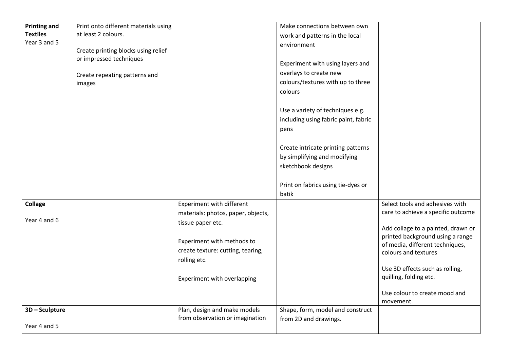| <b>Printing and</b> | Print onto different materials using |                                                                 | Make connections between own         |                                                                     |
|---------------------|--------------------------------------|-----------------------------------------------------------------|--------------------------------------|---------------------------------------------------------------------|
| <b>Textiles</b>     | at least 2 colours.                  |                                                                 | work and patterns in the local       |                                                                     |
| Year 3 and 5        |                                      |                                                                 | environment                          |                                                                     |
|                     | Create printing blocks using relief  |                                                                 |                                      |                                                                     |
|                     | or impressed techniques              |                                                                 | Experiment with using layers and     |                                                                     |
|                     | Create repeating patterns and        |                                                                 | overlays to create new               |                                                                     |
|                     | images                               |                                                                 | colours/textures with up to three    |                                                                     |
|                     |                                      |                                                                 | colours                              |                                                                     |
|                     |                                      |                                                                 |                                      |                                                                     |
|                     |                                      |                                                                 | Use a variety of techniques e.g.     |                                                                     |
|                     |                                      |                                                                 | including using fabric paint, fabric |                                                                     |
|                     |                                      |                                                                 | pens                                 |                                                                     |
|                     |                                      |                                                                 |                                      |                                                                     |
|                     |                                      |                                                                 | Create intricate printing patterns   |                                                                     |
|                     |                                      |                                                                 | by simplifying and modifying         |                                                                     |
|                     |                                      |                                                                 | sketchbook designs                   |                                                                     |
|                     |                                      |                                                                 |                                      |                                                                     |
|                     |                                      |                                                                 | Print on fabrics using tie-dyes or   |                                                                     |
|                     |                                      |                                                                 | batik                                |                                                                     |
| <b>Collage</b>      |                                      | Experiment with different                                       |                                      | Select tools and adhesives with                                     |
|                     |                                      | materials: photos, paper, objects,                              |                                      | care to achieve a specific outcome                                  |
| Year 4 and 6        |                                      | tissue paper etc.                                               |                                      |                                                                     |
|                     |                                      |                                                                 |                                      | Add collage to a painted, drawn or                                  |
|                     |                                      | Experiment with methods to                                      |                                      | printed background using a range<br>of media, different techniques, |
|                     |                                      | create texture: cutting, tearing,                               |                                      | colours and textures                                                |
|                     |                                      | rolling etc.                                                    |                                      |                                                                     |
|                     |                                      |                                                                 |                                      | Use 3D effects such as rolling,                                     |
|                     |                                      | Experiment with overlapping                                     |                                      | quilling, folding etc.                                              |
|                     |                                      |                                                                 |                                      |                                                                     |
|                     |                                      |                                                                 |                                      | Use colour to create mood and                                       |
|                     |                                      |                                                                 |                                      | movement.                                                           |
| 3D - Sculpture      |                                      | Plan, design and make models<br>from observation or imagination | Shape, form, model and construct     |                                                                     |
| Year 4 and 5        |                                      |                                                                 | from 2D and drawings.                |                                                                     |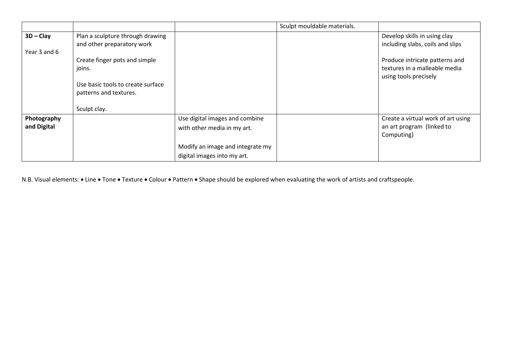|              |                                                                |                                  | Sculpt mouldable materials. |                                                                  |
|--------------|----------------------------------------------------------------|----------------------------------|-----------------------------|------------------------------------------------------------------|
| $3D - Clay$  | Plan a sculpture through drawing<br>and other preparatory work |                                  |                             | Develop skills in using clay<br>including slabs, coils and slips |
| Year 3 and 6 |                                                                |                                  |                             |                                                                  |
|              | Create finger pots and simple                                  |                                  |                             | Produce intricate patterns and                                   |
|              | joins.                                                         |                                  |                             | textures in a malleable media                                    |
|              |                                                                |                                  |                             | using tools precisely                                            |
|              | Use basic tools to create surface                              |                                  |                             |                                                                  |
|              | patterns and textures.                                         |                                  |                             |                                                                  |
|              | Sculpt clay.                                                   |                                  |                             |                                                                  |
|              |                                                                |                                  |                             |                                                                  |
| Photography  |                                                                | Use digital images and combine   |                             | Create a virtual work of art using                               |
| and Digital  |                                                                | with other media in my art.      |                             | an art program (linked to                                        |
|              |                                                                |                                  |                             | Computing)                                                       |
|              |                                                                | Modify an image and integrate my |                             |                                                                  |
|              |                                                                | digital images into my art.      |                             |                                                                  |

N.B. Visual elements: • Line • Tone • Texture • Colour • Pattern • Shape should be explored when evaluating the work of artists and craftspeople.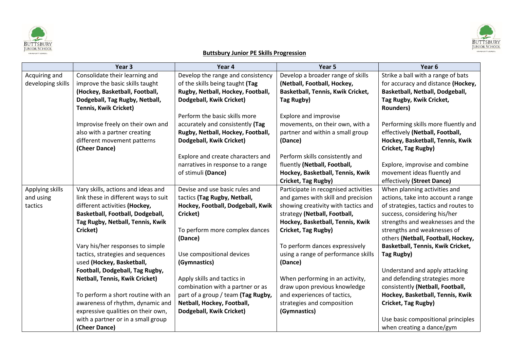



# **Buttsbury Junior PE Skills Progression**

|                   | Year <sub>3</sub>                     | Year 4                             | Year 5                               | Year <sub>6</sub>                    |
|-------------------|---------------------------------------|------------------------------------|--------------------------------------|--------------------------------------|
| Acquiring and     | Consolidate their learning and        | Develop the range and consistency  | Develop a broader range of skills    | Strike a ball with a range of bats   |
| developing skills | improve the basic skills taught       | of the skills being taught (Tag    | (Netball, Football, Hockey,          | for accuracy and distance (Hockey,   |
|                   | (Hockey, Basketball, Football,        | Rugby, Netball, Hockey, Football,  | Basketball, Tennis, Kwik Cricket,    | Basketball, Netball, Dodgeball,      |
|                   | Dodgeball, Tag Rugby, Netball,        | Dodgeball, Kwik Cricket)           | Tag Rugby)                           | Tag Rugby, Kwik Cricket,             |
|                   | <b>Tennis, Kwik Cricket)</b>          |                                    |                                      | <b>Rounders)</b>                     |
|                   |                                       | Perform the basic skills more      | Explore and improvise                |                                      |
|                   | Improvise freely on their own and     | accurately and consistently (Tag   | movements, on their own, with a      | Performing skills more fluently and  |
|                   | also with a partner creating          | Rugby, Netball, Hockey, Football,  | partner and within a small group     | effectively (Netball, Football,      |
|                   | different movement patterns           | Dodgeball, Kwik Cricket)           | (Dance)                              | Hockey, Basketball, Tennis, Kwik     |
|                   | (Cheer Dance)                         |                                    |                                      | Cricket, Tag Rugby)                  |
|                   |                                       | Explore and create characters and  | Perform skills consistently and      |                                      |
|                   |                                       | narratives in response to a range  | fluently (Netball, Football,         | Explore, improvise and combine       |
|                   |                                       | of stimuli (Dance)                 | Hockey, Basketball, Tennis, Kwik     | movement ideas fluently and          |
|                   |                                       |                                    | Cricket, Tag Rugby)                  | effectively (Street Dance)           |
| Applying skills   | Vary skills, actions and ideas and    | Devise and use basic rules and     | Participate in recognised activities | When planning activities and         |
| and using         | link these in different ways to suit  | tactics (Tag Rugby, Netball,       | and games with skill and precision   | actions, take into account a range   |
| tactics           | different activities (Hockey,         | Hockey, Football, Dodgeball, Kwik  | showing creativity with tactics and  | of strategies, tactics and routes to |
|                   | Basketball, Football, Dodgeball,      | Cricket)                           | strategy (Netball, Football,         | success, considering his/her         |
|                   | Tag Rugby, Netball, Tennis, Kwik      |                                    | Hockey, Basketball, Tennis, Kwik     | strengths and weaknesses and the     |
|                   | Cricket)                              | To perform more complex dances     | Cricket, Tag Rugby)                  | strengths and weaknesses of          |
|                   |                                       | (Dance)                            |                                      | others (Netball, Football, Hockey,   |
|                   | Vary his/her responses to simple      |                                    | To perform dances expressively       | Basketball, Tennis, Kwik Cricket,    |
|                   | tactics, strategies and sequences     | Use compositional devices          | using a range of performance skills  | Tag Rugby)                           |
|                   | used (Hockey, Basketball,             | (Gymnastics)                       | (Dance)                              |                                      |
|                   | Football, Dodgeball, Tag Rugby,       |                                    |                                      | Understand and apply attacking       |
|                   | <b>Netball, Tennis, Kwik Cricket)</b> | Apply skills and tactics in        | When performing in an activity,      | and defending strategies more        |
|                   |                                       | combination with a partner or as   | draw upon previous knowledge         | consistently (Netball, Football,     |
|                   | To perform a short routine with an    | part of a group / team (Tag Rugby, | and experiences of tactics,          | Hockey, Basketball, Tennis, Kwik     |
|                   | awareness of rhythm, dynamic and      | Netball, Hockey, Football,         | strategies and composition           | Cricket, Tag Rugby)                  |
|                   | expressive qualities on their own,    | Dodgeball, Kwik Cricket)           | (Gymnastics)                         |                                      |
|                   | with a partner or in a small group    |                                    |                                      | Use basic compositional principles   |
|                   | (Cheer Dance)                         |                                    |                                      | when creating a dance/gym            |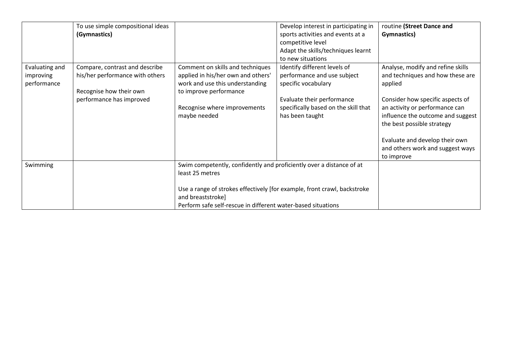|                                            | To use simple compositional ideas<br>(Gymnastics)                                                                        |                                                                                                                                                                                                                                                          | Develop interest in participating in<br>sports activities and events at a<br>competitive level<br>Adapt the skills/techniques learnt<br>to new situations                   | routine (Street Dance and<br>Gymnastics)                                                                                                                                                                                                                                                                      |
|--------------------------------------------|--------------------------------------------------------------------------------------------------------------------------|----------------------------------------------------------------------------------------------------------------------------------------------------------------------------------------------------------------------------------------------------------|-----------------------------------------------------------------------------------------------------------------------------------------------------------------------------|---------------------------------------------------------------------------------------------------------------------------------------------------------------------------------------------------------------------------------------------------------------------------------------------------------------|
| Evaluating and<br>improving<br>performance | Compare, contrast and describe<br>his/her performance with others<br>Recognise how their own<br>performance has improved | Comment on skills and techniques<br>applied in his/her own and others'<br>work and use this understanding<br>to improve performance<br>Recognise where improvements<br>maybe needed                                                                      | Identify different levels of<br>performance and use subject<br>specific vocabulary<br>Evaluate their performance<br>specifically based on the skill that<br>has been taught | Analyse, modify and refine skills<br>and techniques and how these are<br>applied<br>Consider how specific aspects of<br>an activity or performance can<br>influence the outcome and suggest<br>the best possible strategy<br>Evaluate and develop their own<br>and others work and suggest ways<br>to improve |
| Swimming                                   |                                                                                                                          | Swim competently, confidently and proficiently over a distance of at<br>least 25 metres<br>Use a range of strokes effectively [for example, front crawl, backstroke<br>and breaststroke]<br>Perform safe self-rescue in different water-based situations |                                                                                                                                                                             |                                                                                                                                                                                                                                                                                                               |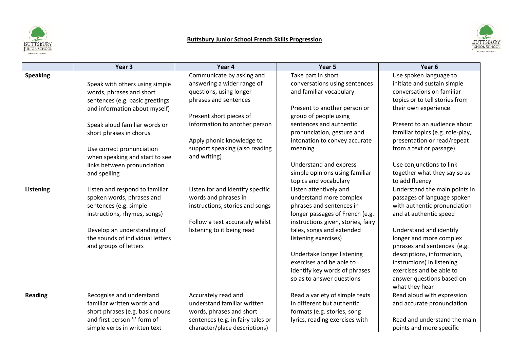

# **Buttsbury Junior School French Skills Progression**



|                 | Year 3                           | Year 4                            | Year 5                             | Year 6                           |
|-----------------|----------------------------------|-----------------------------------|------------------------------------|----------------------------------|
| <b>Speaking</b> |                                  | Communicate by asking and         | Take part in short                 | Use spoken language to           |
|                 | Speak with others using simple   | answering a wider range of        | conversations using sentences      | initiate and sustain simple      |
|                 | words, phrases and short         | questions, using longer           | and familiar vocabulary            | conversations on familiar        |
|                 | sentences (e.g. basic greetings  | phrases and sentences             |                                    | topics or to tell stories from   |
|                 | and information about myself)    |                                   | Present to another person or       | their own experience             |
|                 |                                  | Present short pieces of           | group of people using              |                                  |
|                 | Speak aloud familiar words or    | information to another person     | sentences and authentic            | Present to an audience about     |
|                 | short phrases in chorus          |                                   | pronunciation, gesture and         | familiar topics (e.g. role-play, |
|                 |                                  | Apply phonic knowledge to         | intonation to convey accurate      | presentation or read/repeat      |
|                 | Use correct pronunciation        | support speaking (also reading    | meaning                            | from a text or passage)          |
|                 | when speaking and start to see   | and writing)                      |                                    |                                  |
|                 | links between pronunciation      |                                   | Understand and express             | Use conjunctions to link         |
|                 | and spelling                     |                                   | simple opinions using familiar     | together what they say so as     |
|                 |                                  |                                   | topics and vocabulary              | to add fluency                   |
| Listening       | Listen and respond to familiar   | Listen for and identify specific  | Listen attentively and             | Understand the main points in    |
|                 | spoken words, phrases and        | words and phrases in              | understand more complex            | passages of language spoken      |
|                 | sentences (e.g. simple           | instructions, stories and songs   | phrases and sentences in           | with authentic pronunciation     |
|                 | instructions, rhymes, songs)     |                                   | longer passages of French (e.g.    | and at authentic speed           |
|                 |                                  | Follow a text accurately whilst   | instructions given, stories, fairy |                                  |
|                 | Develop an understanding of      | listening to it being read        | tales, songs and extended          | Understand and identify          |
|                 | the sounds of individual letters |                                   | listening exercises)               | longer and more complex          |
|                 | and groups of letters            |                                   |                                    | phrases and sentences (e.g.      |
|                 |                                  |                                   | Undertake longer listening         | descriptions, information,       |
|                 |                                  |                                   | exercises and be able to           | instructions) in listening       |
|                 |                                  |                                   | identify key words of phrases      | exercises and be able to         |
|                 |                                  |                                   | so as to answer questions          | answer questions based on        |
|                 |                                  |                                   |                                    | what they hear                   |
| <b>Reading</b>  | Recognise and understand         | Accurately read and               | Read a variety of simple texts     | Read aloud with expression       |
|                 | familiar written words and       | understand familiar written       | in different but authentic         | and accurate pronunciation       |
|                 | short phrases (e.g. basic nouns  | words, phrases and short          | formats (e.g. stories, song        |                                  |
|                 | and first person 'I' form of     | sentences (e.g. in fairy tales or | lyrics, reading exercises with     | Read and understand the main     |
|                 | simple verbs in written text     | character/place descriptions)     |                                    | points and more specific         |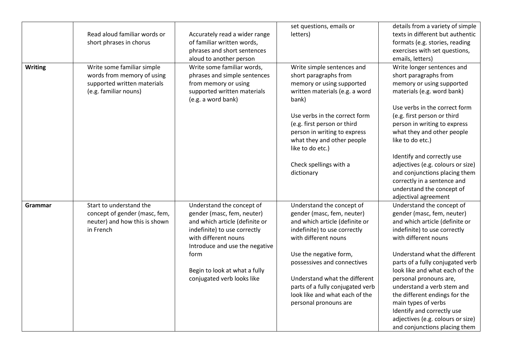|                | Read aloud familiar words or<br>short phrases in chorus                                                          | Accurately read a wider range<br>of familiar written words,<br>phrases and short sentences<br>aloud to another person                                                               | set questions, emails or<br>letters)                                                                                                                                                                                        | details from a variety of simple<br>texts in different but authentic<br>formats (e.g. stories, reading<br>exercises with set questions,<br>emails, letters)                                                                                  |
|----------------|------------------------------------------------------------------------------------------------------------------|-------------------------------------------------------------------------------------------------------------------------------------------------------------------------------------|-----------------------------------------------------------------------------------------------------------------------------------------------------------------------------------------------------------------------------|----------------------------------------------------------------------------------------------------------------------------------------------------------------------------------------------------------------------------------------------|
| <b>Writing</b> | Write some familiar simple<br>words from memory of using<br>supported written materials<br>(e.g. familiar nouns) | Write some familiar words,<br>phrases and simple sentences<br>from memory or using<br>supported written materials<br>(e.g. a word bank)                                             | Write simple sentences and<br>short paragraphs from<br>memory or using supported<br>written materials (e.g. a word<br>bank)<br>Use verbs in the correct form<br>(e.g. first person or third<br>person in writing to express | Write longer sentences and<br>short paragraphs from<br>memory or using supported<br>materials (e.g. word bank)<br>Use verbs in the correct form<br>(e.g. first person or third<br>person in writing to express<br>what they and other people |
|                |                                                                                                                  |                                                                                                                                                                                     | what they and other people<br>like to do etc.)<br>Check spellings with a<br>dictionary                                                                                                                                      | like to do etc.)<br>Identify and correctly use<br>adjectives (e.g. colours or size)<br>and conjunctions placing them<br>correctly in a sentence and                                                                                          |
|                |                                                                                                                  |                                                                                                                                                                                     |                                                                                                                                                                                                                             | understand the concept of<br>adjectival agreement                                                                                                                                                                                            |
| Grammar        | Start to understand the<br>concept of gender (masc, fem,<br>neuter) and how this is shown<br>in French           | Understand the concept of<br>gender (masc, fem, neuter)<br>and which article (definite or<br>indefinite) to use correctly<br>with different nouns<br>Introduce and use the negative | Understand the concept of<br>gender (masc, fem, neuter)<br>and which article (definite or<br>indefinite) to use correctly<br>with different nouns                                                                           | Understand the concept of<br>gender (masc, fem, neuter)<br>and which article (definite or<br>indefinite) to use correctly<br>with different nouns                                                                                            |
|                |                                                                                                                  | form<br>Begin to look at what a fully<br>conjugated verb looks like                                                                                                                 | Use the negative form,<br>possessives and connectives<br>Understand what the different                                                                                                                                      | Understand what the different<br>parts of a fully conjugated verb<br>look like and what each of the<br>personal pronouns are,                                                                                                                |
|                |                                                                                                                  |                                                                                                                                                                                     | parts of a fully conjugated verb<br>look like and what each of the<br>personal pronouns are                                                                                                                                 | understand a verb stem and<br>the different endings for the<br>main types of verbs<br>Identify and correctly use<br>adjectives (e.g. colours or size)<br>and conjunctions placing them                                                       |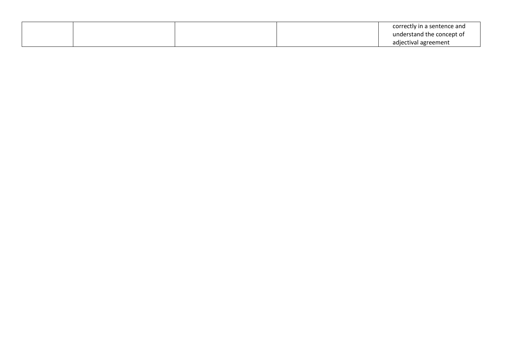|  |  | correctly in a sentence and |
|--|--|-----------------------------|
|  |  | understand the concept of   |
|  |  | adjectival agreement        |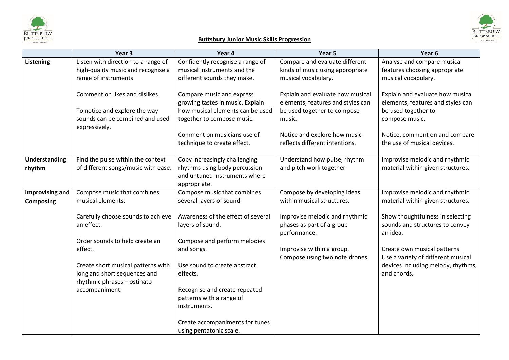

#### **Buttsbury Junior Music Skills Progression**

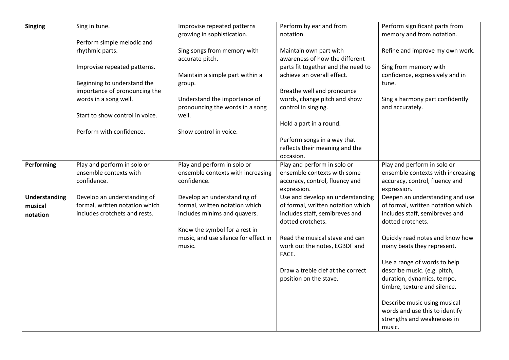| <b>Singing</b>                              | Sing in tune.                                                                                  | Improvise repeated patterns<br>growing in sophistication.                                                                      | Perform by ear and from<br>notation.                                                                                         | Perform significant parts from<br>memory and from notation.                                                                 |
|---------------------------------------------|------------------------------------------------------------------------------------------------|--------------------------------------------------------------------------------------------------------------------------------|------------------------------------------------------------------------------------------------------------------------------|-----------------------------------------------------------------------------------------------------------------------------|
|                                             | Perform simple melodic and                                                                     |                                                                                                                                |                                                                                                                              |                                                                                                                             |
|                                             | rhythmic parts.                                                                                | Sing songs from memory with<br>accurate pitch.                                                                                 | Maintain own part with<br>awareness of how the different                                                                     | Refine and improve my own work.                                                                                             |
|                                             | Improvise repeated patterns.                                                                   | Maintain a simple part within a                                                                                                | parts fit together and the need to<br>achieve an overall effect.                                                             | Sing from memory with<br>confidence, expressively and in                                                                    |
|                                             | Beginning to understand the<br>importance of pronouncing the                                   | group.                                                                                                                         | Breathe well and pronounce                                                                                                   | tune.                                                                                                                       |
|                                             | words in a song well.                                                                          | Understand the importance of<br>pronouncing the words in a song                                                                | words, change pitch and show<br>control in singing.                                                                          | Sing a harmony part confidently<br>and accurately.                                                                          |
|                                             | Start to show control in voice.                                                                | well.                                                                                                                          | Hold a part in a round.                                                                                                      |                                                                                                                             |
|                                             | Perform with confidence.                                                                       | Show control in voice.                                                                                                         |                                                                                                                              |                                                                                                                             |
|                                             |                                                                                                |                                                                                                                                | Perform songs in a way that<br>reflects their meaning and the<br>occasion.                                                   |                                                                                                                             |
| Performing                                  | Play and perform in solo or<br>ensemble contexts with<br>confidence.                           | Play and perform in solo or<br>ensemble contexts with increasing<br>confidence.                                                | Play and perform in solo or<br>ensemble contexts with some<br>accuracy, control, fluency and<br>expression.                  | Play and perform in solo or<br>ensemble contexts with increasing<br>accuracy, control, fluency and<br>expression.           |
| <b>Understanding</b><br>musical<br>notation | Develop an understanding of<br>formal, written notation which<br>includes crotchets and rests. | Develop an understanding of<br>formal, written notation which<br>includes minims and quavers.<br>Know the symbol for a rest in | Use and develop an understanding<br>of formal, written notation which<br>includes staff, semibreves and<br>dotted crotchets. | Deepen an understanding and use<br>of formal, written notation which<br>includes staff, semibreves and<br>dotted crotchets. |
|                                             |                                                                                                | music, and use silence for effect in<br>music.                                                                                 | Read the musical stave and can<br>work out the notes, EGBDF and<br>FACE.                                                     | Quickly read notes and know how<br>many beats they represent.                                                               |
|                                             |                                                                                                |                                                                                                                                | Draw a treble clef at the correct<br>position on the stave.                                                                  | Use a range of words to help<br>describe music. (e.g. pitch,<br>duration, dynamics, tempo,<br>timbre, texture and silence.  |
|                                             |                                                                                                |                                                                                                                                |                                                                                                                              | Describe music using musical<br>words and use this to identify<br>strengths and weaknesses in<br>music.                     |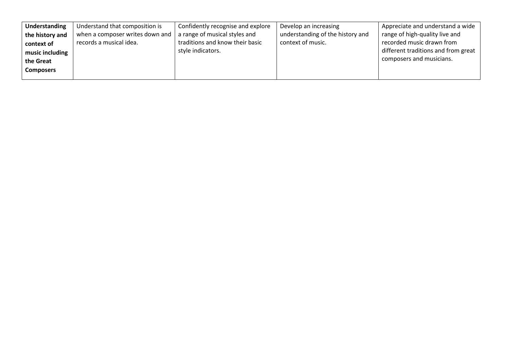| Understanding    | Understand that composition is  | Confidently recognise and explore | Develop an increasing            | Appreciate and understand a wide    |
|------------------|---------------------------------|-----------------------------------|----------------------------------|-------------------------------------|
| the history and  | when a composer writes down and | a range of musical styles and     | understanding of the history and | range of high-quality live and      |
| context of       | records a musical idea.         | traditions and know their basic   | context of music.                | recorded music drawn from           |
| music including  |                                 | style indicators.                 |                                  | different traditions and from great |
| the Great        |                                 |                                   |                                  | composers and musicians.            |
| <b>Composers</b> |                                 |                                   |                                  |                                     |
|                  |                                 |                                   |                                  |                                     |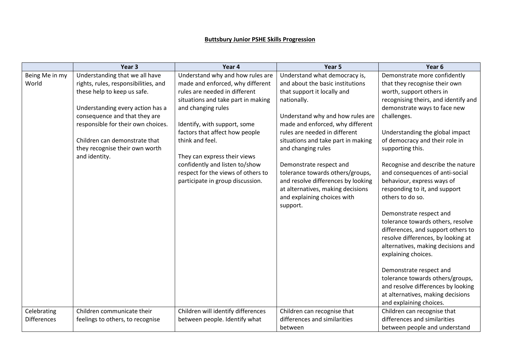#### **Buttsbury Junior PSHE Skills Progression**

|                    | Year <sub>3</sub>                    | Year 4                             | Year <sub>5</sub>                       | Year <sub>6</sub>                    |
|--------------------|--------------------------------------|------------------------------------|-----------------------------------------|--------------------------------------|
| Being Me in my     | Understanding that we all have       | Understand why and how rules are   | Understand what democracy is,           | Demonstrate more confidently         |
| World              | rights, rules, responsibilities, and | made and enforced, why different   | and about the basic institutions        | that they recognise their own        |
|                    | these help to keep us safe.          | rules are needed in different      | that support it locally and             | worth, support others in             |
|                    |                                      | situations and take part in making | nationally.                             | recognising theirs, and identify and |
|                    | Understanding every action has a     | and changing rules                 |                                         | demonstrate ways to face new         |
|                    | consequence and that they are        |                                    | Understand why and how rules are        | challenges.                          |
|                    | responsible for their own choices.   | Identify, with support, some       | made and enforced, why different        |                                      |
|                    |                                      | factors that affect how people     | rules are needed in different           | Understanding the global impact      |
|                    | Children can demonstrate that        | think and feel.                    | situations and take part in making      | of democracy and their role in       |
|                    | they recognise their own worth       |                                    | and changing rules                      | supporting this.                     |
|                    | and identity.                        | They can express their views       |                                         |                                      |
|                    |                                      | confidently and listen to/show     | Demonstrate respect and                 | Recognise and describe the nature    |
|                    |                                      | respect for the views of others to | tolerance towards others/groups,        | and consequences of anti-social      |
|                    |                                      | participate in group discussion.   | and resolve differences by looking      | behaviour, express ways of           |
|                    |                                      |                                    | at alternatives, making decisions       | responding to it, and support        |
|                    |                                      |                                    | and explaining choices with<br>support. | others to do so.                     |
|                    |                                      |                                    |                                         | Demonstrate respect and              |
|                    |                                      |                                    |                                         | tolerance towards others, resolve    |
|                    |                                      |                                    |                                         | differences, and support others to   |
|                    |                                      |                                    |                                         | resolve differences, by looking at   |
|                    |                                      |                                    |                                         | alternatives, making decisions and   |
|                    |                                      |                                    |                                         | explaining choices.                  |
|                    |                                      |                                    |                                         | Demonstrate respect and              |
|                    |                                      |                                    |                                         | tolerance towards others/groups,     |
|                    |                                      |                                    |                                         | and resolve differences by looking   |
|                    |                                      |                                    |                                         | at alternatives, making decisions    |
|                    |                                      |                                    |                                         | and explaining choices.              |
| Celebrating        | Children communicate their           | Children will identify differences | Children can recognise that             | Children can recognise that          |
| <b>Differences</b> | feelings to others, to recognise     | between people. Identify what      | differences and similarities            | differences and similarities         |
|                    |                                      |                                    | between                                 | between people and understand        |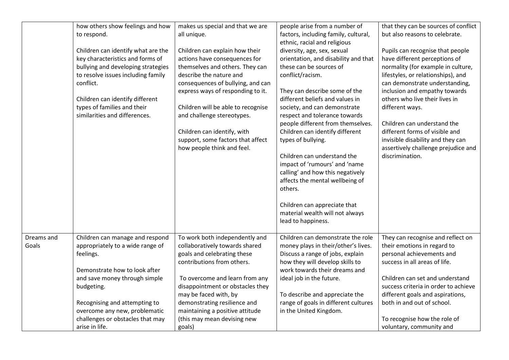|            | how others show feelings and how<br>to respond.<br>Children can identify what are the | makes us special and that we are<br>all unique.<br>Children can explain how their | people arise from a number of<br>factors, including family, cultural,<br>ethnic, racial and religious<br>diversity, age, sex, sexual | that they can be sources of conflict<br>but also reasons to celebrate.<br>Pupils can recognise that people |
|------------|---------------------------------------------------------------------------------------|-----------------------------------------------------------------------------------|--------------------------------------------------------------------------------------------------------------------------------------|------------------------------------------------------------------------------------------------------------|
|            | key characteristics and forms of                                                      | actions have consequences for                                                     | orientation, and disability and that                                                                                                 | have different perceptions of                                                                              |
|            | bullying and developing strategies                                                    | themselves and others. They can                                                   | these can be sources of                                                                                                              | normality (for example in culture,                                                                         |
|            | to resolve issues including family<br>conflict.                                       | describe the nature and<br>consequences of bullying, and can                      | conflict/racism.                                                                                                                     | lifestyles, or relationships), and<br>can demonstrate understanding,                                       |
|            |                                                                                       | express ways of responding to it.                                                 | They can describe some of the                                                                                                        | inclusion and empathy towards                                                                              |
|            | Children can identify different                                                       |                                                                                   | different beliefs and values in                                                                                                      | others who live their lives in                                                                             |
|            | types of families and their<br>similarities and differences.                          | Children will be able to recognise<br>and challenge stereotypes.                  | society, and can demonstrate<br>respect and tolerance towards                                                                        | different ways.                                                                                            |
|            |                                                                                       |                                                                                   | people different from themselves.                                                                                                    | Children can understand the                                                                                |
|            |                                                                                       | Children can identify, with                                                       | Children can identify different                                                                                                      | different forms of visible and                                                                             |
|            |                                                                                       | support, some factors that affect<br>how people think and feel.                   | types of bullying.                                                                                                                   | invisible disability and they can<br>assertively challenge prejudice and                                   |
|            |                                                                                       |                                                                                   | Children can understand the                                                                                                          | discrimination.                                                                                            |
|            |                                                                                       |                                                                                   | impact of 'rumours' and 'name                                                                                                        |                                                                                                            |
|            |                                                                                       |                                                                                   | calling' and how this negatively<br>affects the mental wellbeing of                                                                  |                                                                                                            |
|            |                                                                                       |                                                                                   | others.                                                                                                                              |                                                                                                            |
|            |                                                                                       |                                                                                   |                                                                                                                                      |                                                                                                            |
|            |                                                                                       |                                                                                   | Children can appreciate that<br>material wealth will not always                                                                      |                                                                                                            |
|            |                                                                                       |                                                                                   | lead to happiness.                                                                                                                   |                                                                                                            |
| Dreams and | Children can manage and respond                                                       | To work both independently and                                                    | Children can demonstrate the role                                                                                                    | They can recognise and reflect on                                                                          |
| Goals      | appropriately to a wide range of                                                      | collaboratively towards shared                                                    | money plays in their/other's lives.                                                                                                  | their emotions in regard to                                                                                |
|            | feelings.                                                                             | goals and celebrating these                                                       | Discuss a range of jobs, explain                                                                                                     | personal achievements and                                                                                  |
|            |                                                                                       | contributions from others.                                                        | how they will develop skills to                                                                                                      | success in all areas of life.                                                                              |
|            | Demonstrate how to look after                                                         |                                                                                   | work towards their dreams and                                                                                                        |                                                                                                            |
|            | and save money through simple                                                         | To overcome and learn from any                                                    | ideal job in the future.                                                                                                             | Children can set and understand                                                                            |
|            | budgeting.                                                                            | disappointment or obstacles they                                                  |                                                                                                                                      | success criteria in order to achieve                                                                       |
|            | Recognising and attempting to                                                         | may be faced with, by<br>demonstrating resilience and                             | To describe and appreciate the<br>range of goals in different cultures                                                               | different goals and aspirations,<br>both in and out of school.                                             |
|            | overcome any new, problematic                                                         | maintaining a positive attitude                                                   | in the United Kingdom.                                                                                                               |                                                                                                            |
|            | challenges or obstacles that may                                                      | (this may mean devising new                                                       |                                                                                                                                      | To recognise how the role of                                                                               |
|            | arise in life.                                                                        | goals)                                                                            |                                                                                                                                      | voluntary, community and                                                                                   |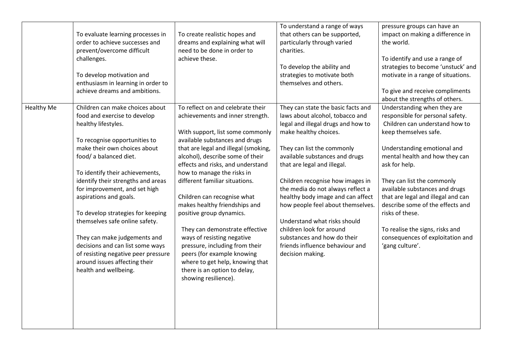|                   | To evaluate learning processes in<br>order to achieve successes and<br>prevent/overcome difficult<br>challenges.<br>To develop motivation and<br>enthusiasm in learning in order to<br>achieve dreams and ambitions.                                                                                                                                                                                                                                                                                                                                              | To create realistic hopes and<br>dreams and explaining what will<br>need to be done in order to<br>achieve these.                                                                                                                                                                                                                                                                                                                                                                                                                                                                                                                                   | To understand a range of ways<br>that others can be supported,<br>particularly through varied<br>charities.<br>To develop the ability and<br>strategies to motivate both<br>themselves and others.                                                                                                                                                                                                                                                                                                                                       | pressure groups can have an<br>impact on making a difference in<br>the world.<br>To identify and use a range of<br>strategies to become 'unstuck' and<br>motivate in a range of situations.<br>To give and receive compliments<br>about the strengths of others.                                                                                                                                                                                                    |
|-------------------|-------------------------------------------------------------------------------------------------------------------------------------------------------------------------------------------------------------------------------------------------------------------------------------------------------------------------------------------------------------------------------------------------------------------------------------------------------------------------------------------------------------------------------------------------------------------|-----------------------------------------------------------------------------------------------------------------------------------------------------------------------------------------------------------------------------------------------------------------------------------------------------------------------------------------------------------------------------------------------------------------------------------------------------------------------------------------------------------------------------------------------------------------------------------------------------------------------------------------------------|------------------------------------------------------------------------------------------------------------------------------------------------------------------------------------------------------------------------------------------------------------------------------------------------------------------------------------------------------------------------------------------------------------------------------------------------------------------------------------------------------------------------------------------|---------------------------------------------------------------------------------------------------------------------------------------------------------------------------------------------------------------------------------------------------------------------------------------------------------------------------------------------------------------------------------------------------------------------------------------------------------------------|
| <b>Healthy Me</b> | Children can make choices about<br>food and exercise to develop<br>healthy lifestyles.<br>To recognise opportunities to<br>make their own choices about<br>food/ a balanced diet.<br>To identify their achievements,<br>identify their strengths and areas<br>for improvement, and set high<br>aspirations and goals.<br>To develop strategies for keeping<br>themselves safe online safety.<br>They can make judgements and<br>decisions and can list some ways<br>of resisting negative peer pressure<br>around issues affecting their<br>health and wellbeing. | To reflect on and celebrate their<br>achievements and inner strength.<br>With support, list some commonly<br>available substances and drugs<br>that are legal and illegal (smoking,<br>alcohol), describe some of their<br>effects and risks, and understand<br>how to manage the risks in<br>different familiar situations.<br>Children can recognise what<br>makes healthy friendships and<br>positive group dynamics.<br>They can demonstrate effective<br>ways of resisting negative<br>pressure, including from their<br>peers (for example knowing<br>where to get help, knowing that<br>there is an option to delay,<br>showing resilience). | They can state the basic facts and<br>laws about alcohol, tobacco and<br>legal and illegal drugs and how to<br>make healthy choices.<br>They can list the commonly<br>available substances and drugs<br>that are legal and illegal.<br>Children recognise how images in<br>the media do not always reflect a<br>healthy body image and can affect<br>how people feel about themselves.<br>Understand what risks should<br>children look for around<br>substances and how do their<br>friends influence behaviour and<br>decision making. | Understanding when they are<br>responsible for personal safety.<br>Children can understand how to<br>keep themselves safe.<br>Understanding emotional and<br>mental health and how they can<br>ask for help.<br>They can list the commonly<br>available substances and drugs<br>that are legal and illegal and can<br>describe some of the effects and<br>risks of these.<br>To realise the signs, risks and<br>consequences of exploitation and<br>'gang culture'. |